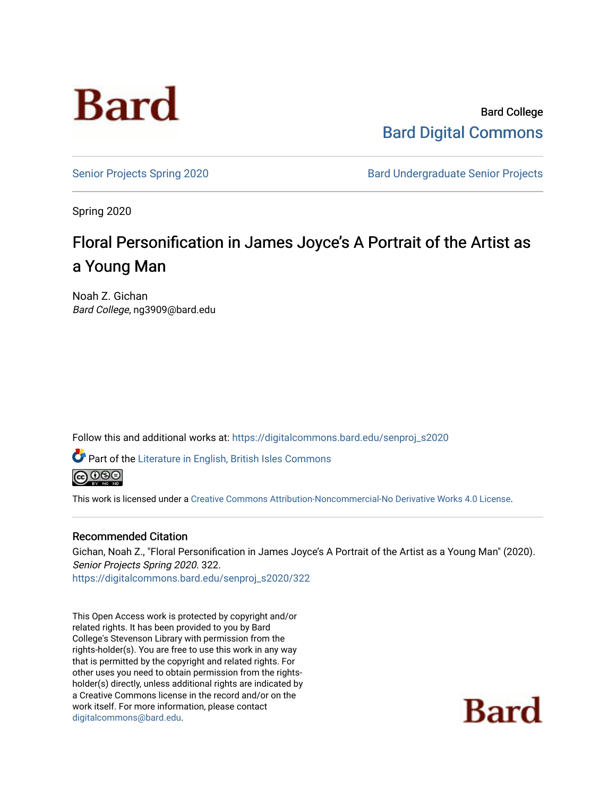

Bard College [Bard Digital Commons](https://digitalcommons.bard.edu/) 

[Senior Projects Spring 2020](https://digitalcommons.bard.edu/senproj_s2020) **Bard Undergraduate Senior Projects** 

Spring 2020

# Floral Personification in James Joyce's A Portrait of the Artist as a Young Man

Noah Z. Gichan Bard College, ng3909@bard.edu

Follow this and additional works at: [https://digitalcommons.bard.edu/senproj\\_s2020](https://digitalcommons.bard.edu/senproj_s2020?utm_source=digitalcommons.bard.edu%2Fsenproj_s2020%2F322&utm_medium=PDF&utm_campaign=PDFCoverPages)

Part of the [Literature in English, British Isles Commons](http://network.bepress.com/hgg/discipline/456?utm_source=digitalcommons.bard.edu%2Fsenproj_s2020%2F322&utm_medium=PDF&utm_campaign=PDFCoverPages)

**@000** 

This work is licensed under a [Creative Commons Attribution-Noncommercial-No Derivative Works 4.0 License.](https://creativecommons.org/licenses/by-nc-nd/4.0/)

## Recommended Citation

Gichan, Noah Z., "Floral Personification in James Joyce's A Portrait of the Artist as a Young Man" (2020). Senior Projects Spring 2020. 322. [https://digitalcommons.bard.edu/senproj\\_s2020/322](https://digitalcommons.bard.edu/senproj_s2020/322?utm_source=digitalcommons.bard.edu%2Fsenproj_s2020%2F322&utm_medium=PDF&utm_campaign=PDFCoverPages)

This Open Access work is protected by copyright and/or related rights. It has been provided to you by Bard College's Stevenson Library with permission from the rights-holder(s). You are free to use this work in any way that is permitted by the copyright and related rights. For other uses you need to obtain permission from the rightsholder(s) directly, unless additional rights are indicated by a Creative Commons license in the record and/or on the work itself. For more information, please contact [digitalcommons@bard.edu](mailto:digitalcommons@bard.edu).

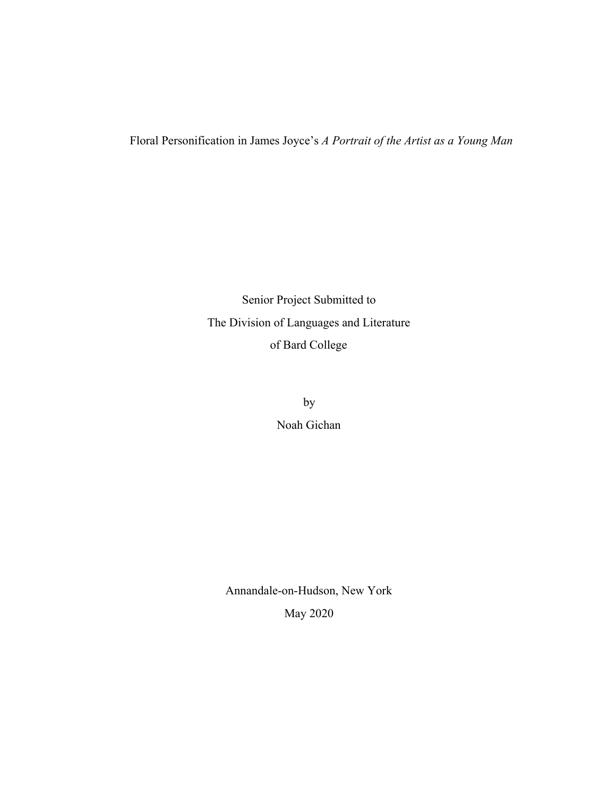## Floral Personification in James Joyce's *A Portrait of the Artist as a Young Man*

 Senior Project Submitted to The Division of Languages and Literature of Bard College

> by Noah Gichan

 Annandale-on-Hudson, New York May 2020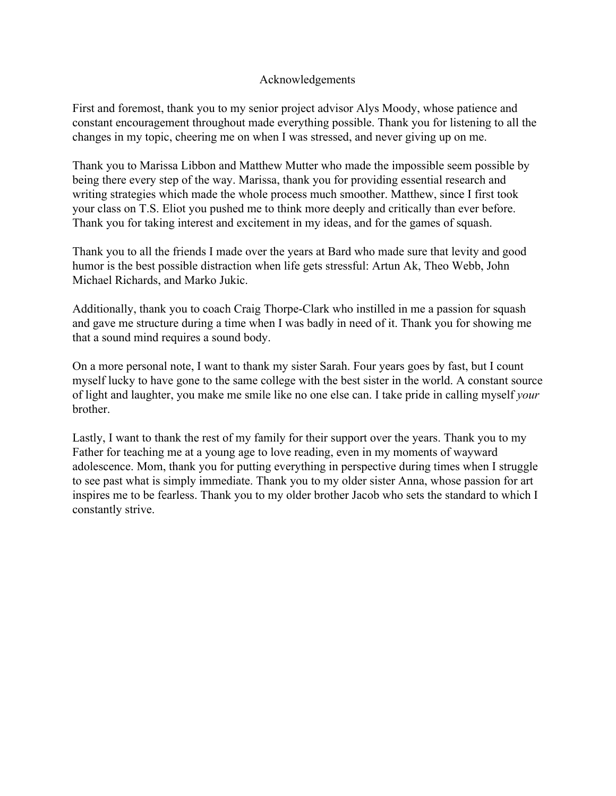## Acknowledgements

First and foremost, thank you to my senior project advisor Alys Moody, whose patience and constant encouragement throughout made everything possible. Thank you for listening to all the changes in my topic, cheering me on when I was stressed, and never giving up on me.

Thank you to Marissa Libbon and Matthew Mutter who made the impossible seem possible by being there every step of the way. Marissa, thank you for providing essential research and writing strategies which made the whole process much smoother. Matthew, since I first took your class on T.S. Eliot you pushed me to think more deeply and critically than ever before. Thank you for taking interest and excitement in my ideas, and for the games of squash.

Thank you to all the friends I made over the years at Bard who made sure that levity and good humor is the best possible distraction when life gets stressful: Artun Ak, Theo Webb, John Michael Richards, and Marko Jukic.

Additionally, thank you to coach Craig Thorpe-Clark who instilled in me a passion for squash and gave me structure during a time when I was badly in need of it. Thank you for showing me that a sound mind requires a sound body.

On a more personal note, I want to thank my sister Sarah. Four years goes by fast, but I count myself lucky to have gone to the same college with the best sister in the world. A constant source of light and laughter, you make me smile like no one else can. I take pride in calling myself *your* brother.

Lastly, I want to thank the rest of my family for their support over the years. Thank you to my Father for teaching me at a young age to love reading, even in my moments of wayward adolescence. Mom, thank you for putting everything in perspective during times when I struggle to see past what is simply immediate. Thank you to my older sister Anna, whose passion for art inspires me to be fearless. Thank you to my older brother Jacob who sets the standard to which I constantly strive.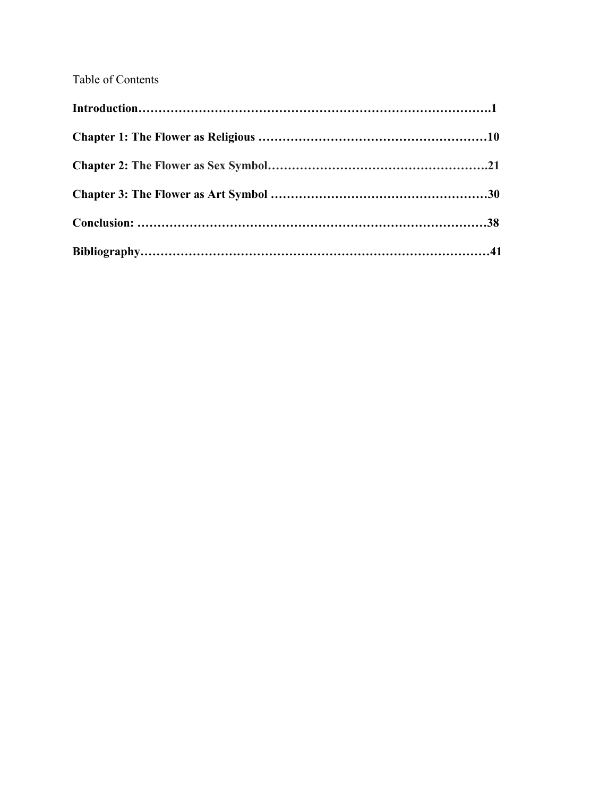# Table of Contents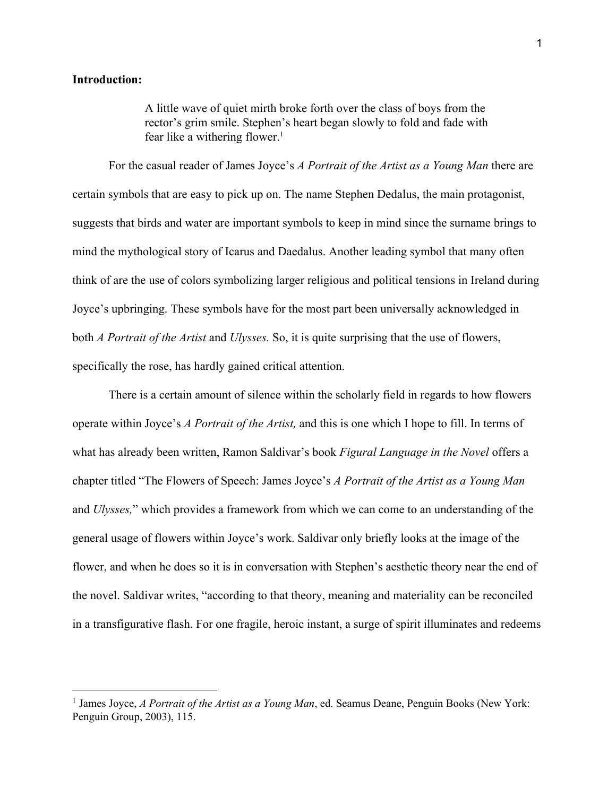#### **Introduction:**

A little wave of quiet mirth broke forth over the class of boys from the rector's grim smile. Stephen's heart began slowly to fold and fade with fear like a withering flower.<sup>1</sup>

For the casual reader of James Joyce's *A Portrait of the Artist as a Young Man* there are certain symbols that are easy to pick up on. The name Stephen Dedalus, the main protagonist, suggests that birds and water are important symbols to keep in mind since the surname brings to mind the mythological story of Icarus and Daedalus. Another leading symbol that many often think of are the use of colors symbolizing larger religious and political tensions in Ireland during Joyce's upbringing. These symbols have for the most part been universally acknowledged in both *A Portrait of the Artist* and *Ulysses.* So, it is quite surprising that the use of flowers, specifically the rose, has hardly gained critical attention.

There is a certain amount of silence within the scholarly field in regards to how flowers operate within Joyce's *A Portrait of the Artist,* and this is one which I hope to fill. In terms of what has already been written, Ramon Saldivar's book *Figural Language in the Novel* offers a chapter titled "The Flowers of Speech: James Joyce's *A Portrait of the Artist as a Young Man* and *Ulysses,*" which provides a framework from which we can come to an understanding of the general usage of flowers within Joyce's work. Saldivar only briefly looks at the image of the flower, and when he does so it is in conversation with Stephen's aesthetic theory near the end of the novel. Saldivar writes, "according to that theory, meaning and materiality can be reconciled in a transfigurative flash. For one fragile, heroic instant, a surge of spirit illuminates and redeems

<sup>1</sup> James [Joyce,](https://www.zotero.org/google-docs/?upomZF) *A [Portrait](https://www.zotero.org/google-docs/?upomZF) of the Artist as a Young Man*, ed. Seamus Deane, [Penguin](https://www.zotero.org/google-docs/?upomZF) Books (New York: [Penguin](https://www.zotero.org/google-docs/?upomZF) Group, 2003), 115.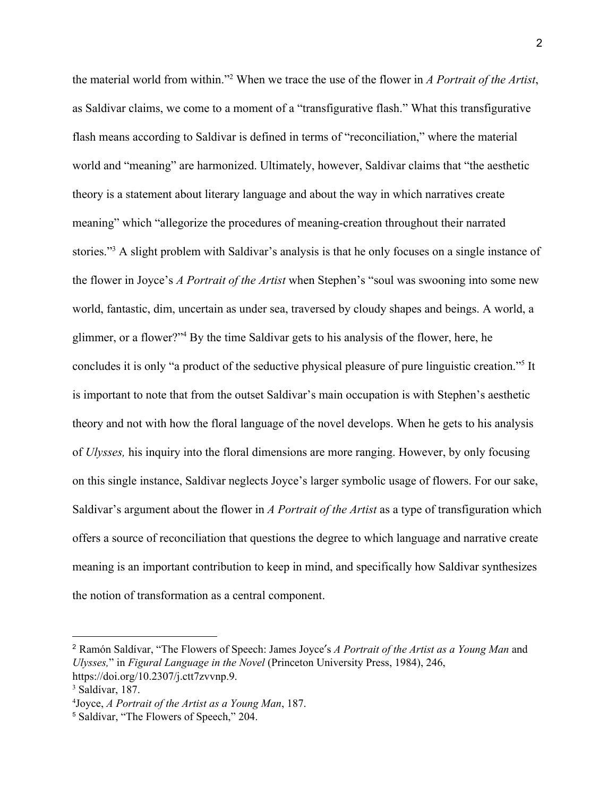the material world from within."<sup>2</sup> When we trace the use of the flower in *A Portrait of the Artist*, as Saldivar claims, we come to a moment of a "transfigurative flash." What this transfigurative flash means according to Saldivar is defined in terms of "reconciliation," where the material world and "meaning" are harmonized. Ultimately, however, Saldivar claims that "the aesthetic theory is a statement about literary language and about the way in which narratives create meaning" which "allegorize the procedures of meaning-creation throughout their narrated stories."<sup>3</sup> A slight problem with Saldivar's analysis is that he only focuses on a single instance of the flower in Joyce's *A Portrait of the Artist* when Stephen's "soul was swooning into some new world, fantastic, dim, uncertain as under sea, traversed by cloudy shapes and beings. A world, a glimmer, or a flower?" By the time Saldivar gets to his analysis of the flower, here, he concludes it is only "a product of the seductive physical pleasure of pure linguistic creation."<sup>5</sup> It is important to note that from the outset Saldivar's main occupation is with Stephen's aesthetic theory and not with how the floral language of the novel develops. When he gets to his analysis of *Ulysses,* his inquiry into the floral dimensions are more ranging. However, by only focusing on this single instance, Saldivar neglects Joyce's larger symbolic usage of flowers. For our sake, Saldivar's argument about the flower in *A Portrait of the Artist* as a type of transfiguration which offers a source of reconciliation that questions the degree to which language and narrative create meaning is an important contribution to keep in mind, and specifically how Saldivar synthesizes the notion of transformation as a central component.

<sup>2</sup> Ramón [Saldívar,](https://www.zotero.org/google-docs/?jxl76C) "The Flowers of Speech: James Joyceʹs *A [Portrait](https://www.zotero.org/google-docs/?jxl76C) of the Artist as a Young Man* [and](https://www.zotero.org/google-docs/?jxl76C) *[Ulysses,](https://www.zotero.org/google-docs/?jxl76C)*" [in](https://www.zotero.org/google-docs/?jxl76C) *Figural [Language](https://www.zotero.org/google-docs/?jxl76C) in the Novel* (Princeton [University](https://www.zotero.org/google-docs/?jxl76C) Press, 1984), 246, [https://doi.org/10.2307/j.ctt7zvvnp.9.](https://www.zotero.org/google-docs/?jxl76C)

<sup>3</sup> [Saldívar,](https://www.zotero.org/google-docs/?JGLvSu) 187.

<sup>4</sup>[Joyce,](https://www.zotero.org/google-docs/?ID0VbO) *A [Portrait](https://www.zotero.org/google-docs/?ID0VbO) of the Artist as a Young Man*, [187.](https://www.zotero.org/google-docs/?ID0VbO)

<sup>5</sup> [Saldívar,](https://www.zotero.org/google-docs/?F2zkcA) "The Flowers of Speech," 204.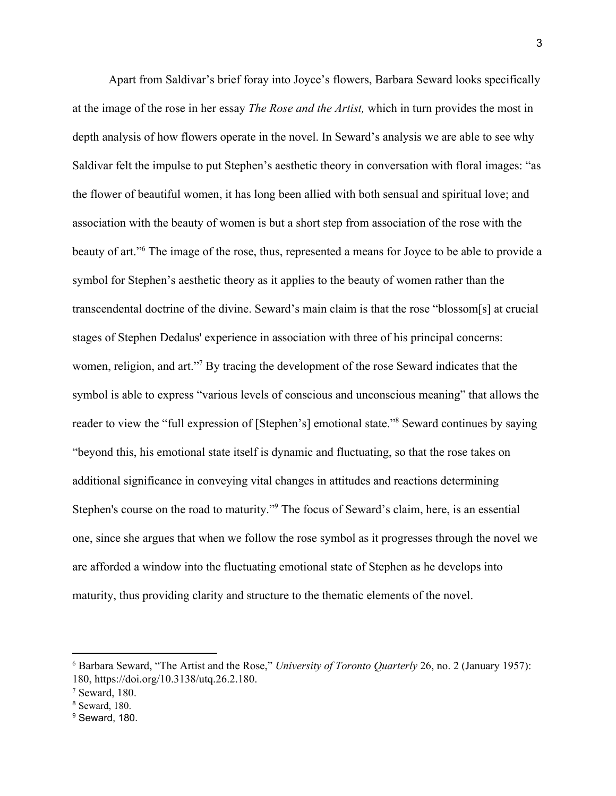Apart from Saldivar's brief foray into Joyce's flowers, Barbara Seward looks specifically at the image of the rose in her essay *The Rose and the Artist,* which in turn provides the most in depth analysis of how flowers operate in the novel. In Seward's analysis we are able to see why Saldivar felt the impulse to put Stephen's aesthetic theory in conversation with floral images: "as the flower of beautiful women, it has long been allied with both sensual and spiritual love; and association with the beauty of women is but a short step from association of the rose with the beauty of art."<sup>6</sup> The image of the rose, thus, represented a means for Joyce to be able to provide a symbol for Stephen's aesthetic theory as it applies to the beauty of women rather than the transcendental doctrine of the divine. Seward's main claim is that the rose "blossom[s] at crucial stages of Stephen Dedalus' experience in association with three of his principal concerns: women, religion, and art."<sup>7</sup> By tracing the development of the rose Seward indicates that the symbol is able to express "various levels of conscious and unconscious meaning" that allows the reader to view the "full expression of [Stephen's] emotional state."<sup>8</sup> Seward continues by saying "beyond this, his emotional state itself is dynamic and fluctuating, so that the rose takes on additional significance in conveying vital changes in attitudes and reactions determining Stephen's course on the road to maturity."<sup>9</sup> The focus of Seward's claim, here, is an essential one, since she argues that when we follow the rose symbol as it progresses through the novel we are afforded a window into the fluctuating emotional state of Stephen as he develops into maturity, thus providing clarity and structure to the thematic elements of the novel.

<sup>6</sup> Barbara [Seward,](https://www.zotero.org/google-docs/?3Z9IDe) "The Artist and the Rose," *[University](https://www.zotero.org/google-docs/?3Z9IDe) of Toronto Quarterly* 26, no. 2 [\(January](https://www.zotero.org/google-docs/?3Z9IDe) 1957): 180, [https://doi.org/10.3138/utq.26.2.180.](https://www.zotero.org/google-docs/?3Z9IDe)

<sup>7</sup> [Seward,](https://www.zotero.org/google-docs/?mIdKCn) 180.

<sup>8</sup> [Seward,](https://www.zotero.org/google-docs/?pJM313) 180.

<sup>&</sup>lt;sup>9</sup> [Seward,](https://www.zotero.org/google-docs/?6AOcUE) 180.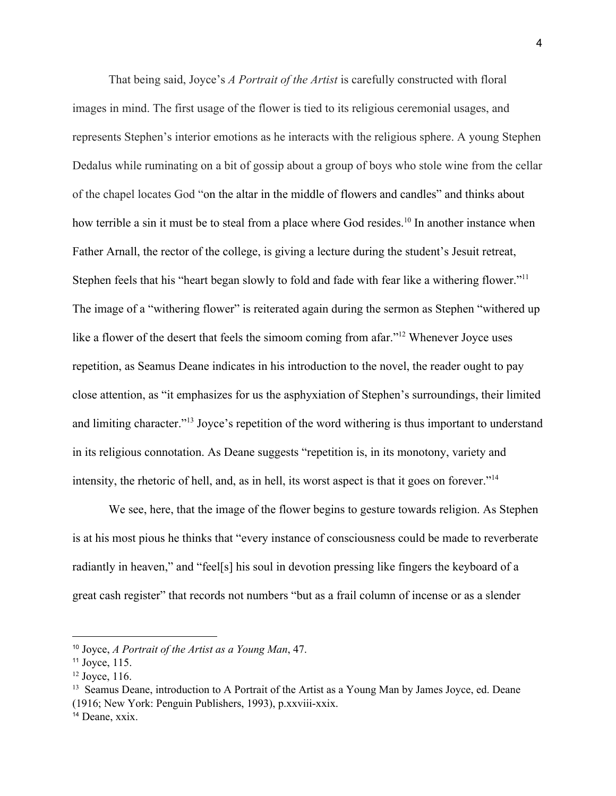That being said, Joyce's *A Portrait of the Artist* is carefully constructed with floral images in mind. The first usage of the flower is tied to its religious ceremonial usages, and represents Stephen's interior emotions as he interacts with the religious sphere. A young Stephen Dedalus while ruminating on a bit of gossip about a group of boys who stole wine from the cellar of the chapel locates God "on the altar in the middle of flowers and candles" and thinks about how terrible a sin it must be to steal from a place where God resides.<sup>10</sup> In another instance when Father Arnall, the rector of the college, is giving a lecture during the student's Jesuit retreat, Stephen feels that his "heart began slowly to fold and fade with fear like a withering flower."<sup>11</sup> The image of a "withering flower" is reiterated again during the sermon as Stephen "withered up like a flower of the desert that feels the simoom coming from afar."<sup>12</sup> Whenever Joyce uses repetition, as Seamus Deane indicates in his introduction to the novel, the reader ought to pay close attention, as "it emphasizes for us the asphyxiation of Stephen's surroundings, their limited and limiting character."<sup>13</sup> Joyce's repetition of the word withering is thus important to understand in its religious connotation. As Deane suggests "repetition is, in its monotony, variety and intensity, the rhetoric of hell, and, as in hell, its worst aspect is that it goes on forever."<sup>14</sup>

We see, here, that the image of the flower begins to gesture towards religion. As Stephen is at his most pious he thinks that "every instance of consciousness could be made to reverberate radiantly in heaven," and "feel[s] his soul in devotion pressing like fingers the keyboard of a great cash register" that records not numbers "but as a frail column of incense or as a slender

<sup>10</sup> [Joyce,](https://www.zotero.org/google-docs/?nrV1VW) *A [Portrait](https://www.zotero.org/google-docs/?nrV1VW) of the Artist as a Young Man*, [47.](https://www.zotero.org/google-docs/?nrV1VW)

<sup>11</sup> [Joyce,](https://www.zotero.org/google-docs/?mARLmb) 115.

 $12$  [Joyce,](https://www.zotero.org/google-docs/?YmcA4z) 116.

<sup>&</sup>lt;sup>13</sup> Seamus Deane, introduction to A Portrait of the Artist as a Young Man by James Joyce, ed. Deane (1916; New York: Penguin Publishers, 1993), p.xxviii-xxix.

<sup>&</sup>lt;sup>14</sup> Deane, xxix.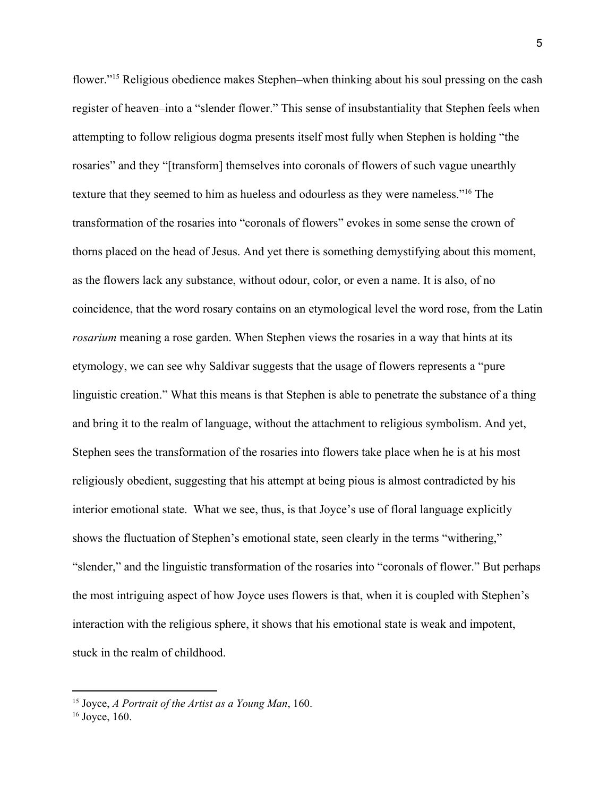flower."<sup>15</sup> Religious obedience makes Stephen–when thinking about his soul pressing on the cash register of heaven–into a "slender flower." This sense of insubstantiality that Stephen feels when attempting to follow religious dogma presents itself most fully when Stephen is holding "the rosaries" and they "[transform] themselves into coronals of flowers of such vague unearthly texture that they seemed to him as hueless and odourless as they were nameless."<sup>16</sup> The transformation of the rosaries into "coronals of flowers" evokes in some sense the crown of thorns placed on the head of Jesus. And yet there is something demystifying about this moment, as the flowers lack any substance, without odour, color, or even a name. It is also, of no coincidence, that the word rosary contains on an etymological level the word rose, from the Latin *rosarium* meaning a rose garden. When Stephen views the rosaries in a way that hints at its etymology, we can see why Saldivar suggests that the usage of flowers represents a "pure linguistic creation." What this means is that Stephen is able to penetrate the substance of a thing and bring it to the realm of language, without the attachment to religious symbolism. And yet, Stephen sees the transformation of the rosaries into flowers take place when he is at his most religiously obedient, suggesting that his attempt at being pious is almost contradicted by his interior emotional state. What we see, thus, is that Joyce's use of floral language explicitly shows the fluctuation of Stephen's emotional state, seen clearly in the terms "withering," "slender," and the linguistic transformation of the rosaries into "coronals of flower." But perhaps the most intriguing aspect of how Joyce uses flowers is that, when it is coupled with Stephen's interaction with the religious sphere, it shows that his emotional state is weak and impotent, stuck in the realm of childhood.

<sup>15</sup> [Joyce,](https://www.zotero.org/google-docs/?M4EEXk) *A [Portrait](https://www.zotero.org/google-docs/?M4EEXk) of the Artist as a Young Man*, [160.](https://www.zotero.org/google-docs/?M4EEXk)

 $16$  [Joyce,](https://www.zotero.org/google-docs/?cu10Kg) 160.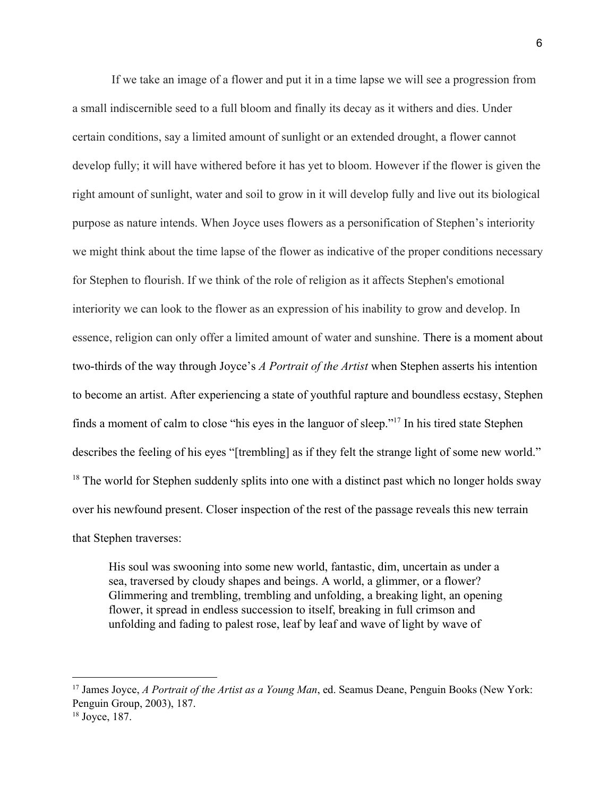If we take an image of a flower and put it in a time lapse we will see a progression from a small indiscernible seed to a full bloom and finally its decay as it withers and dies. Under certain conditions, say a limited amount of sunlight or an extended drought, a flower cannot develop fully; it will have withered before it has yet to bloom. However if the flower is given the right amount of sunlight, water and soil to grow in it will develop fully and live out its biological purpose as nature intends. When Joyce uses flowers as a personification of Stephen's interiority we might think about the time lapse of the flower as indicative of the proper conditions necessary for Stephen to flourish. If we think of the role of religion as it affects Stephen's emotional interiority we can look to the flower as an expression of his inability to grow and develop. In essence, religion can only offer a limited amount of water and sunshine. There is a moment about two-thirds of the way through Joyce's *A Portrait of the Artist* when Stephen asserts his intention to become an artist. After experiencing a state of youthful rapture and boundless ecstasy, Stephen finds a moment of calm to close "his eyes in the languor of sleep."<sup>17</sup> In his tired state Stephen describes the feeling of his eyes "[trembling] as if they felt the strange light of some new world."  $18$  The world for Stephen suddenly splits into one with a distinct past which no longer holds sway over his newfound present. Closer inspection of the rest of the passage reveals this new terrain that Stephen traverses:

His soul was swooning into some new world, fantastic, dim, uncertain as under a sea, traversed by cloudy shapes and beings. A world, a glimmer, or a flower? Glimmering and trembling, trembling and unfolding, a breaking light, an opening flower, it spread in endless succession to itself, breaking in full crimson and unfolding and fading to palest rose, leaf by leaf and wave of light by wave of

<sup>17</sup> James [Joyce,](https://www.zotero.org/google-docs/?kvzl04) *A [Portrait](https://www.zotero.org/google-docs/?kvzl04) of the Artist as a Young Man*, ed. Seamus Deane, [Penguin](https://www.zotero.org/google-docs/?kvzl04) Books (New York: [Penguin](https://www.zotero.org/google-docs/?kvzl04) Group, 2003), 187.

<sup>18</sup> [Joyce,](https://www.zotero.org/google-docs/?GUKSyn) 187.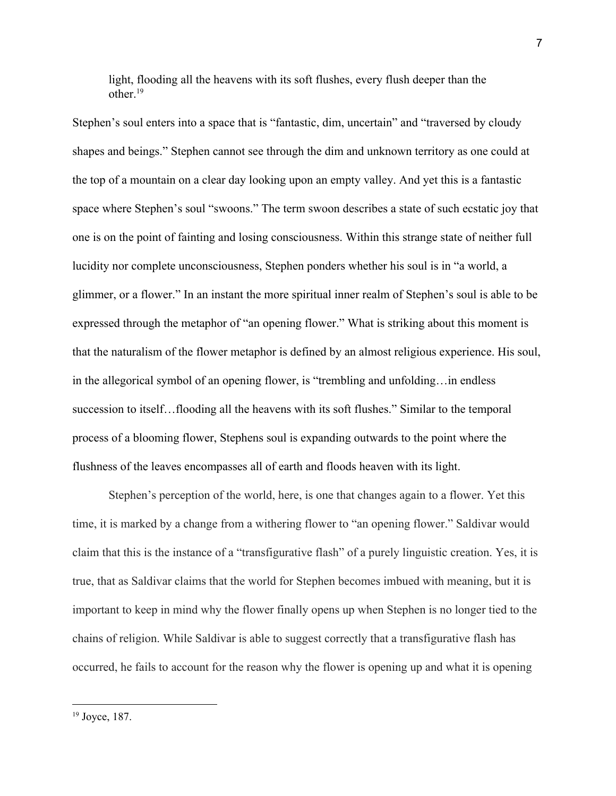light, flooding all the heavens with its soft flushes, every flush deeper than the other $19$ 

Stephen's soul enters into a space that is "fantastic, dim, uncertain" and "traversed by cloudy shapes and beings." Stephen cannot see through the dim and unknown territory as one could at the top of a mountain on a clear day looking upon an empty valley. And yet this is a fantastic space where Stephen's soul "swoons." The term swoon describes a state of such ecstatic joy that one is on the point of fainting and losing consciousness. Within this strange state of neither full lucidity nor complete unconsciousness, Stephen ponders whether his soul is in "a world, a glimmer, or a flower." In an instant the more spiritual inner realm of Stephen's soul is able to be expressed through the metaphor of "an opening flower." What is striking about this moment is that the naturalism of the flower metaphor is defined by an almost religious experience. His soul, in the allegorical symbol of an opening flower, is "trembling and unfolding…in endless succession to itself…flooding all the heavens with its soft flushes." Similar to the temporal process of a blooming flower, Stephens soul is expanding outwards to the point where the flushness of the leaves encompasses all of earth and floods heaven with its light.

Stephen's perception of the world, here, is one that changes again to a flower. Yet this time, it is marked by a change from a withering flower to "an opening flower." Saldivar would claim that this is the instance of a "transfigurative flash" of a purely linguistic creation. Yes, it is true, that as Saldivar claims that the world for Stephen becomes imbued with meaning, but it is important to keep in mind why the flower finally opens up when Stephen is no longer tied to the chains of religion. While Saldivar is able to suggest correctly that a transfigurative flash has occurred, he fails to account for the reason why the flower is opening up and what it is opening

<sup>19</sup> [Joyce,](https://www.zotero.org/google-docs/?Z9m52N) 187.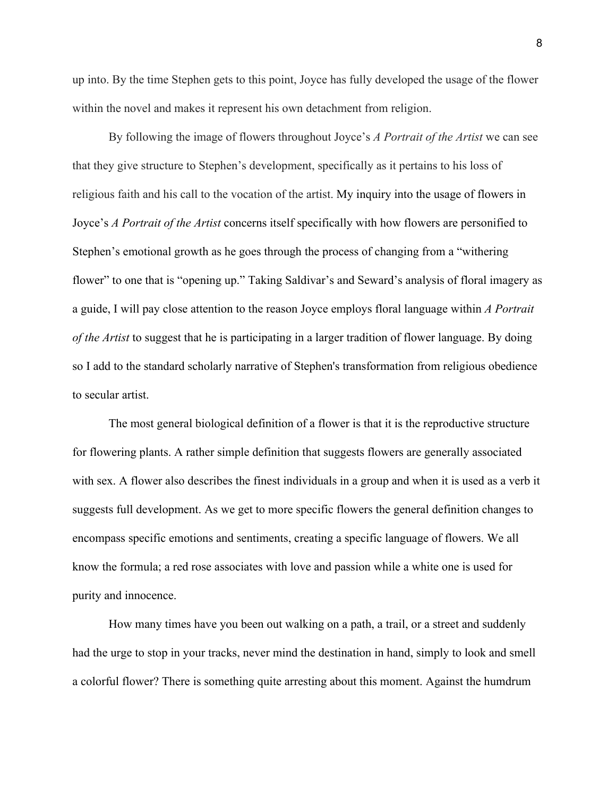up into. By the time Stephen gets to this point, Joyce has fully developed the usage of the flower within the novel and makes it represent his own detachment from religion.

By following the image of flowers throughout Joyce's *A Portrait of the Artist* we can see that they give structure to Stephen's development, specifically as it pertains to his loss of religious faith and his call to the vocation of the artist. My inquiry into the usage of flowers in Joyce's *A Portrait of the Artist* concerns itself specifically with how flowers are personified to Stephen's emotional growth as he goes through the process of changing from a "withering flower" to one that is "opening up." Taking Saldivar's and Seward's analysis of floral imagery as a guide, I will pay close attention to the reason Joyce employs floral language within *A Portrait of the Artist* to suggest that he is participating in a larger tradition of flower language. By doing so I add to the standard scholarly narrative of Stephen's transformation from religious obedience to secular artist.

The most general biological definition of a flower is that it is the reproductive structure for flowering plants. A rather simple definition that suggests flowers are generally associated with sex. A flower also describes the finest individuals in a group and when it is used as a verb it suggests full development. As we get to more specific flowers the general definition changes to encompass specific emotions and sentiments, creating a specific language of flowers. We all know the formula; a red rose associates with love and passion while a white one is used for purity and innocence.

How many times have you been out walking on a path, a trail, or a street and suddenly had the urge to stop in your tracks, never mind the destination in hand, simply to look and smell a colorful flower? There is something quite arresting about this moment. Against the humdrum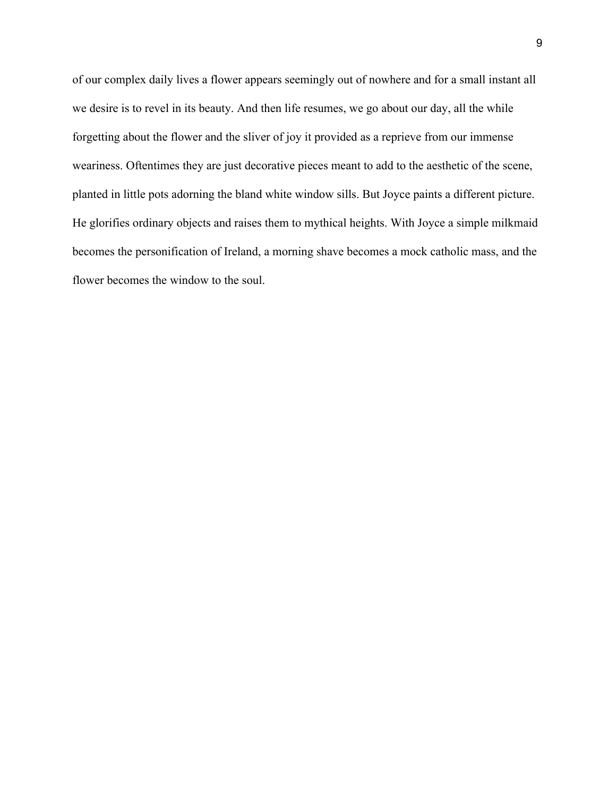of our complex daily lives a flower appears seemingly out of nowhere and for a small instant all we desire is to revel in its beauty. And then life resumes, we go about our day, all the while forgetting about the flower and the sliver of joy it provided as a reprieve from our immense weariness. Oftentimes they are just decorative pieces meant to add to the aesthetic of the scene, planted in little pots adorning the bland white window sills. But Joyce paints a different picture. He glorifies ordinary objects and raises them to mythical heights. With Joyce a simple milkmaid becomes the personification of Ireland, a morning shave becomes a mock catholic mass, and the flower becomes the window to the soul.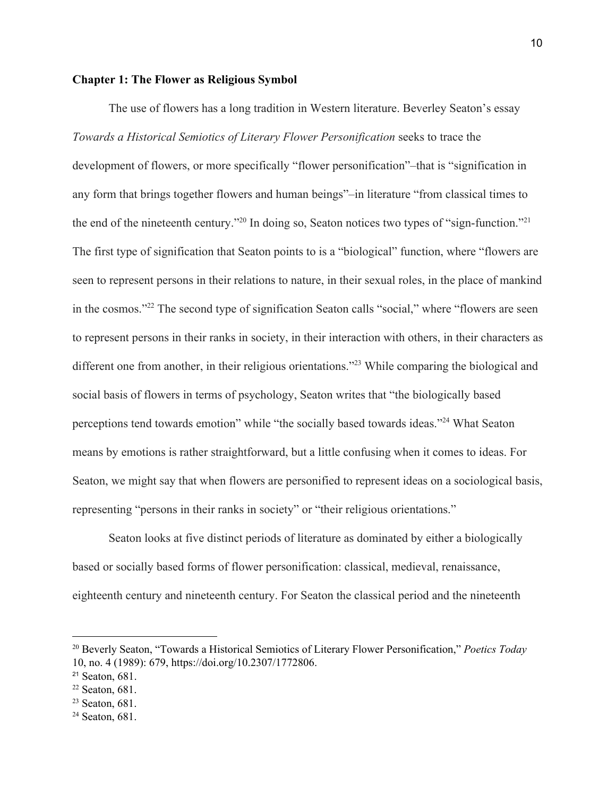#### **Chapter 1: The Flower as Religious Symbol**

The use of flowers has a long tradition in Western literature. Beverley Seaton's essay *Towards a Historical Semiotics of Literary Flower Personification* seeks to trace the development of flowers, or more specifically "flower personification"–that is "signification in any form that brings together flowers and human beings"–in literature "from classical times to the end of the nineteenth century."<sup>20</sup> In doing so, Seaton notices two types of "sign-function."<sup>21</sup> The first type of signification that Seaton points to is a "biological" function, where "flowers are seen to represent persons in their relations to nature, in their sexual roles, in the place of mankind in the cosmos."<sup>22</sup> The second type of signification Seaton calls "social," where "flowers are seen to represent persons in their ranks in society, in their interaction with others, in their characters as different one from another, in their religious orientations."<sup>23</sup> While comparing the biological and social basis of flowers in terms of psychology, Seaton writes that "the biologically based perceptions tend towards emotion" while "the socially based towards ideas."<sup>24</sup> What Seaton means by emotions is rather straightforward, but a little confusing when it comes to ideas. For Seaton, we might say that when flowers are personified to represent ideas on a sociological basis, representing "persons in their ranks in society" or "their religious orientations."

Seaton looks at five distinct periods of literature as dominated by either a biologically based or socially based forms of flower personification: classical, medieval, renaissance, eighteenth century and nineteenth century. For Seaton the classical period and the nineteenth

<sup>20</sup> Beverly Seaton, "Towards a Historical Semiotics of Literary Flower [Personification,"](https://www.zotero.org/google-docs/?LSLUja) *[Poetics](https://www.zotero.org/google-docs/?LSLUja) Today* 10, no. 4 (1989): 679, [https://doi.org/10.2307/1772806.](https://www.zotero.org/google-docs/?LSLUja)

<sup>21</sup> [Seaton,](https://www.zotero.org/google-docs/?HwI3Lz) 681.

<sup>22</sup> [Seaton,](https://www.zotero.org/google-docs/?ziWL2w) 681.

<sup>23</sup> [Seaton,](https://www.zotero.org/google-docs/?ukRL8M) 681.

<sup>24</sup> [Seaton,](https://www.zotero.org/google-docs/?3b28uu) 681.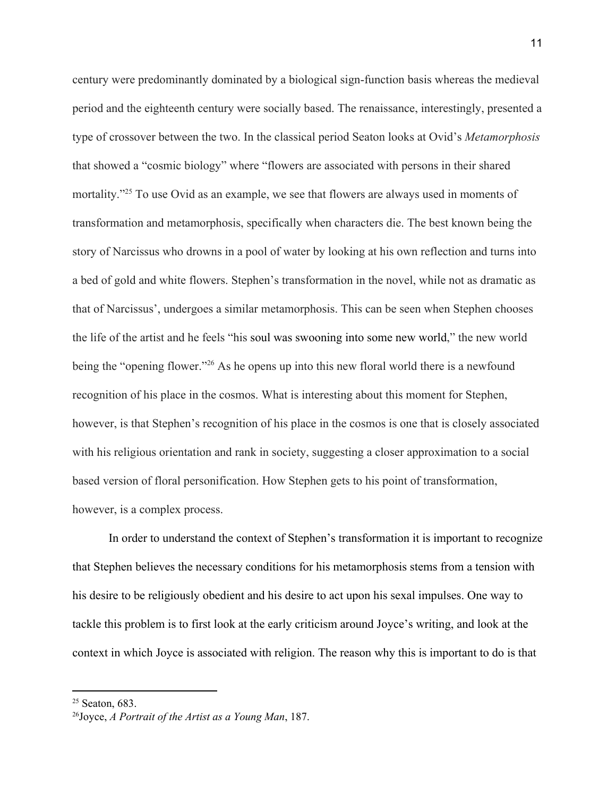century were predominantly dominated by a biological sign-function basis whereas the medieval period and the eighteenth century were socially based. The renaissance, interestingly, presented a type of crossover between the two. In the classical period Seaton looks at Ovid's *Metamorphosis* that showed a "cosmic biology" where "flowers are associated with persons in their shared mortality."<sup>25</sup> To use Ovid as an example, we see that flowers are always used in moments of transformation and metamorphosis, specifically when characters die. The best known being the story of Narcissus who drowns in a pool of water by looking at his own reflection and turns into a bed of gold and white flowers. Stephen's transformation in the novel, while not as dramatic as that of Narcissus', undergoes a similar metamorphosis. This can be seen when Stephen chooses the life of the artist and he feels "his soul was swooning into some new world," the new world being the "opening flower."  $26$  As he opens up into this new floral world there is a newfound recognition of his place in the cosmos. What is interesting about this moment for Stephen, however, is that Stephen's recognition of his place in the cosmos is one that is closely associated with his religious orientation and rank in society, suggesting a closer approximation to a social based version of floral personification. How Stephen gets to his point of transformation, however, is a complex process.

In order to understand the context of Stephen's transformation it is important to recognize that Stephen believes the necessary conditions for his metamorphosis stems from a tension with his desire to be religiously obedient and his desire to act upon his sexal impulses. One way to tackle this problem is to first look at the early criticism around Joyce's writing, and look at the context in which Joyce is associated with religion. The reason why this is important to do is that

<sup>25</sup> [Seaton,](https://www.zotero.org/google-docs/?hBq4Gf) 683.

<sup>26</sup>[Joyce,](https://www.zotero.org/google-docs/?ORwfNA) *A [Portrait](https://www.zotero.org/google-docs/?ORwfNA) of the Artist as a Young Man*, [187.](https://www.zotero.org/google-docs/?ORwfNA)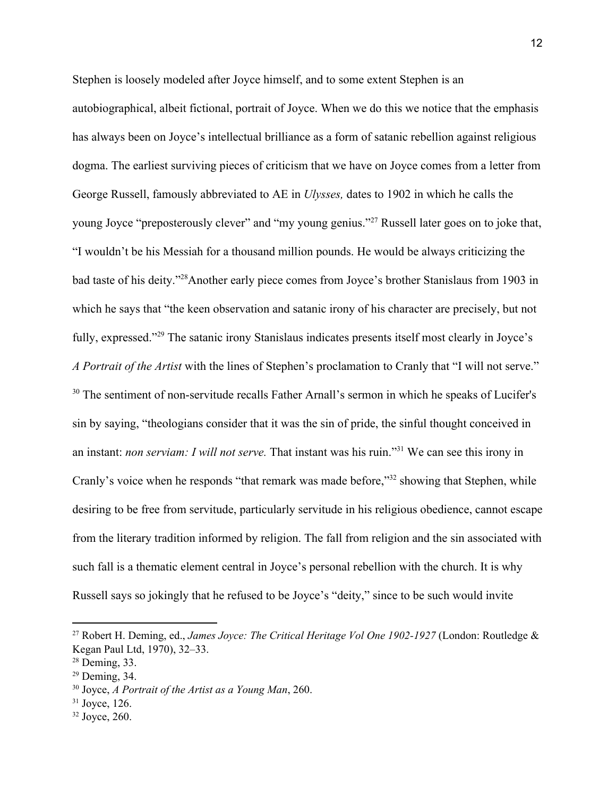Stephen is loosely modeled after Joyce himself, and to some extent Stephen is an autobiographical, albeit fictional, portrait of Joyce. When we do this we notice that the emphasis has always been on Joyce's intellectual brilliance as a form of satanic rebellion against religious dogma. The earliest surviving pieces of criticism that we have on Joyce comes from a letter from George Russell, famously abbreviated to AE in *Ulysses,* dates to 1902 in which he calls the young Joyce "preposterously clever" and "my young genius."<sup>27</sup> Russell later goes on to joke that, "I wouldn't be his Messiah for a thousand million pounds. He would be always criticizing the bad taste of his deity."<sup>28</sup> Another early piece comes from Joyce's brother Stanislaus from 1903 in which he says that "the keen observation and satanic irony of his character are precisely, but not fully, expressed."<sup>29</sup> The satanic irony Stanislaus indicates presents itself most clearly in Joyce's *A Portrait of the Artist* with the lines of Stephen's proclamation to Cranly that "I will not serve." <sup>30</sup> The sentiment of non-servitude recalls Father Arnall's sermon in which he speaks of Lucifer's sin by saying, "theologians consider that it was the sin of pride, the sinful thought conceived in an instant: *non serviam: I will not serve*. That instant was his ruin."<sup>31</sup> We can see this irony in Cranly's voice when he responds "that remark was made before,"<sup>32</sup> showing that Stephen, while desiring to be free from servitude, particularly servitude in his religious obedience, cannot escape from the literary tradition informed by religion. The fall from religion and the sin associated with such fall is a thematic element central in Joyce's personal rebellion with the church. It is why Russell says so jokingly that he refused to be Joyce's "deity," since to be such would invite

<sup>27</sup> Robert H. Deming, ed., *James Joyce: The Critical Heritage Vol One 1902-1927* (London: Routledge & Kegan Paul Ltd, 1970), 32–33.

<sup>28</sup> Deming, 33.

<sup>29</sup> Deming, 34.

<sup>30</sup> Joyce, *A Portrait of the Artist as a Young Man*, 260.

 $31$  Joyce, 126.

 $32$  Joyce, 260.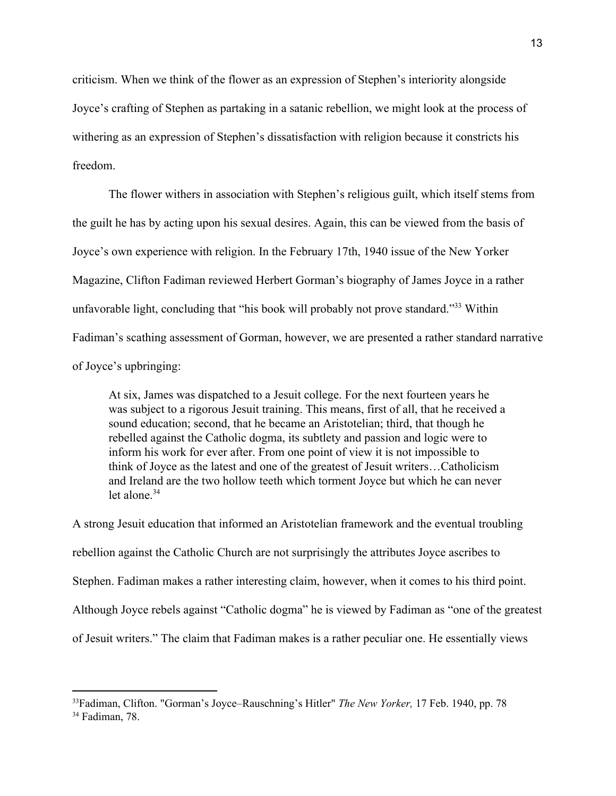criticism. When we think of the flower as an expression of Stephen's interiority alongside Joyce's crafting of Stephen as partaking in a satanic rebellion, we might look at the process of withering as an expression of Stephen's dissatisfaction with religion because it constricts his freedom.

The flower withers in association with Stephen's religious guilt, which itself stems from the guilt he has by acting upon his sexual desires. Again, this can be viewed from the basis of Joyce's own experience with religion. In the February 17th, 1940 issue of the New Yorker Magazine, Clifton Fadiman reviewed Herbert Gorman's biography of James Joyce in a rather unfavorable light, concluding that "his book will probably not prove standard."<sup>33</sup> Within Fadiman's scathing assessment of Gorman, however, we are presented a rather standard narrative of Joyce's upbringing:

At six, James was dispatched to a Jesuit college. For the next fourteen years he was subject to a rigorous Jesuit training. This means, first of all, that he received a sound education; second, that he became an Aristotelian; third, that though he rebelled against the Catholic dogma, its subtlety and passion and logic were to inform his work for ever after. From one point of view it is not impossible to think of Joyce as the latest and one of the greatest of Jesuit writers…Catholicism and Ireland are the two hollow teeth which torment Joyce but which he can never let alone  $34$ 

A strong Jesuit education that informed an Aristotelian framework and the eventual troubling rebellion against the Catholic Church are not surprisingly the attributes Joyce ascribes to Stephen. Fadiman makes a rather interesting claim, however, when it comes to his third point. Although Joyce rebels against "Catholic dogma" he is viewed by Fadiman as "one of the greatest of Jesuit writers." The claim that Fadiman makes is a rather peculiar one. He essentially views

<sup>33</sup>Fadiman, Clifton. "Gorman's Joyce–Rauschning's Hitler" *The New Yorker,* 17 Feb. 1940, pp. 78 <sup>34</sup> Fadiman, 78.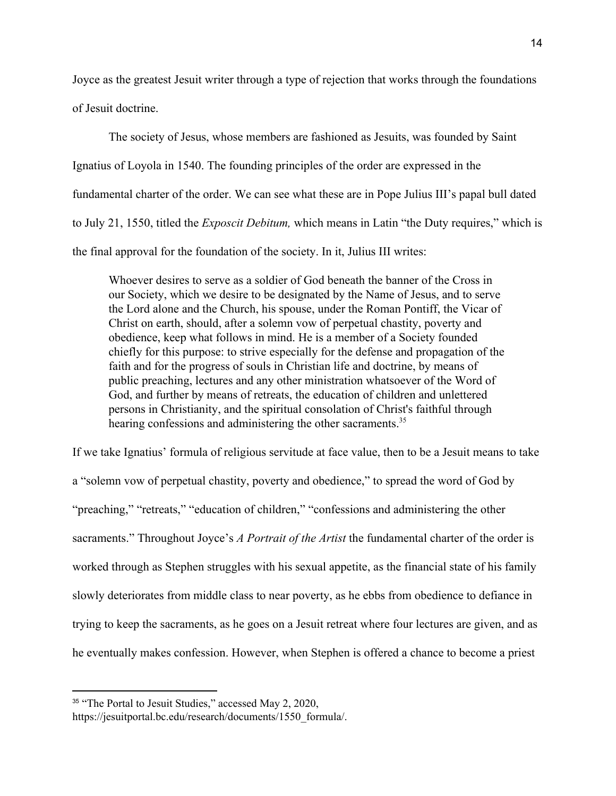Joyce as the greatest Jesuit writer through a type of rejection that works through the foundations of Jesuit doctrine.

The society of Jesus, whose members are fashioned as Jesuits, was founded by Saint Ignatius of Loyola in 1540. The founding principles of the order are expressed in the fundamental charter of the order. We can see what these are in Pope Julius III's papal bull dated to July 21, 1550, titled the *Exposcit Debitum,* which means in Latin "the Duty requires," which is the final approval for the foundation of the society. In it, Julius III writes:

Whoever desires to serve as a soldier of God beneath the banner of the Cross in our Society, which we desire to be designated by the Name of Jesus, and to serve the Lord alone and the Church, his spouse, under the Roman Pontiff, the Vicar of Christ on earth, should, after a solemn vow of perpetual chastity, poverty and obedience, keep what follows in mind. He is a member of a Society founded chiefly for this purpose: to strive especially for the defense and propagation of the faith and for the progress of souls in Christian life and doctrine, by means of public preaching, lectures and any other ministration whatsoever of the Word of God, and further by means of retreats, the education of children and unlettered persons in Christianity, and the spiritual consolation of Christ's faithful through hearing confessions and administering the other sacraments.<sup>35</sup>

If we take Ignatius' formula of religious servitude at face value, then to be a Jesuit means to take a "solemn vow of perpetual chastity, poverty and obedience," to spread the word of God by "preaching," "retreats," "education of children," "confessions and administering the other sacraments." Throughout Joyce's *A Portrait of the Artist* the fundamental charter of the order is worked through as Stephen struggles with his sexual appetite, as the financial state of his family slowly deteriorates from middle class to near poverty, as he ebbs from obedience to defiance in trying to keep the sacraments, as he goes on a Jesuit retreat where four lectures are given, and as he eventually makes confession. However, when Stephen is offered a chance to become a priest

<sup>&</sup>lt;sup>35</sup> "The Portal to Jesuit [Studies,"](https://www.zotero.org/google-docs/?C7hD1r) accessed May 2, 2020,

[https://jesuitportal.bc.edu/research/documents/1550\\_formula/.](https://www.zotero.org/google-docs/?C7hD1r)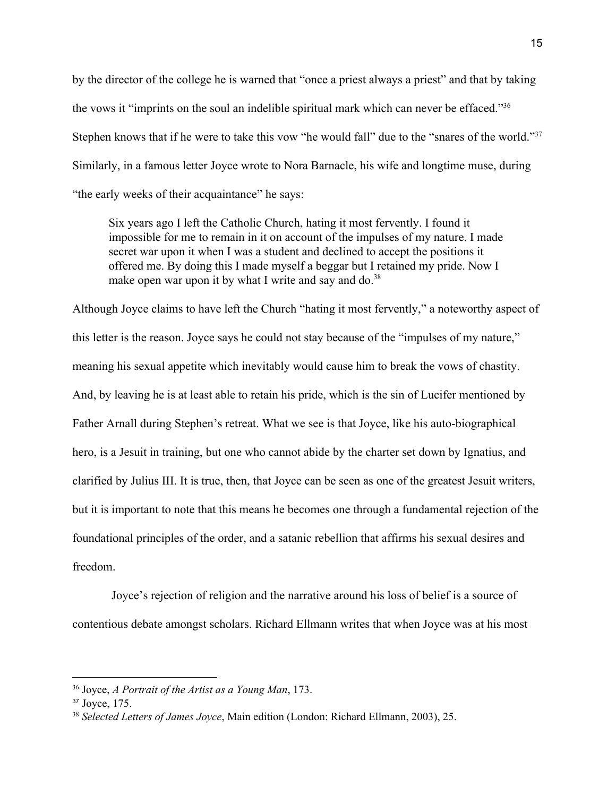by the director of the college he is warned that "once a priest always a priest" and that by taking the vows it "imprints on the soul an indelible spiritual mark which can never be effaced."<sup>36</sup> Stephen knows that if he were to take this vow "he would fall" due to the "snares of the world."<sup>37</sup> Similarly, in a famous letter Joyce wrote to Nora Barnacle, his wife and longtime muse, during "the early weeks of their acquaintance" he says:

Six years ago I left the Catholic Church, hating it most fervently. I found it impossible for me to remain in it on account of the impulses of my nature. I made secret war upon it when I was a student and declined to accept the positions it offered me. By doing this I made myself a beggar but I retained my pride. Now I make open war upon it by what I write and say and  $\delta$ .<sup>38</sup>

Although Joyce claims to have left the Church "hating it most fervently," a noteworthy aspect of this letter is the reason. Joyce says he could not stay because of the "impulses of my nature," meaning his sexual appetite which inevitably would cause him to break the vows of chastity. And, by leaving he is at least able to retain his pride, which is the sin of Lucifer mentioned by Father Arnall during Stephen's retreat. What we see is that Joyce, like his auto-biographical hero, is a Jesuit in training, but one who cannot abide by the charter set down by Ignatius, and clarified by Julius III. It is true, then, that Joyce can be seen as one of the greatest Jesuit writers, but it is important to note that this means he becomes one through a fundamental rejection of the foundational principles of the order, and a satanic rebellion that affirms his sexual desires and freedom.

 Joyce's rejection of religion and the narrative around his loss of belief is a source of contentious debate amongst scholars. Richard Ellmann writes that when Joyce was at his most

<sup>36</sup> [Joyce,](https://www.zotero.org/google-docs/?5LW9cV) *A [Portrait](https://www.zotero.org/google-docs/?5LW9cV) of the Artist as a Young Man*, [173.](https://www.zotero.org/google-docs/?5LW9cV)

<sup>37</sup> [Joyce,](https://www.zotero.org/google-docs/?tgvrH7) 175.

<sup>38</sup> *[Selected](https://www.zotero.org/google-docs/?izIepI) Letters of James Joyce*, Main edition [\(London:](https://www.zotero.org/google-docs/?izIepI) Richard Ellmann, 2003), 25.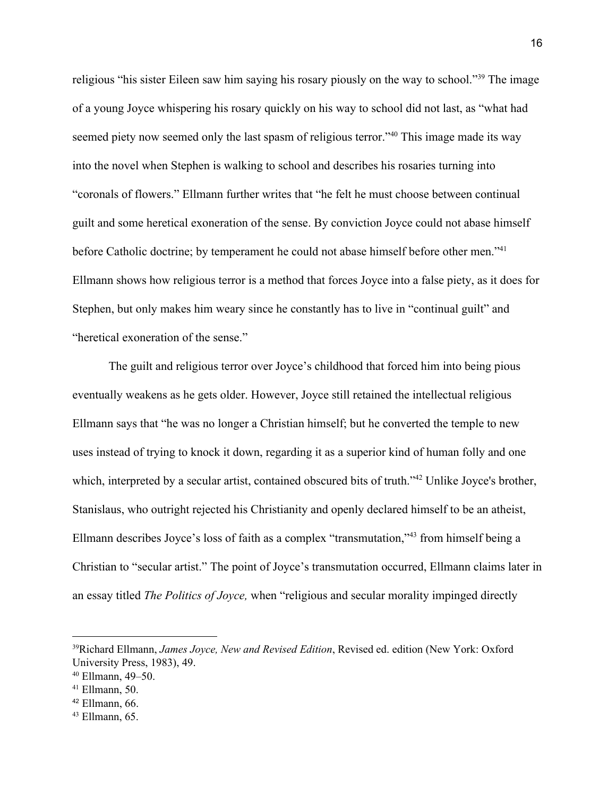religious "his sister Eileen saw him saying his rosary piously on the way to school."<sup>39</sup> The image of a young Joyce whispering his rosary quickly on his way to school did not last, as "what had seemed piety now seemed only the last spasm of religious terror."<sup>40</sup> This image made its way into the novel when Stephen is walking to school and describes his rosaries turning into "coronals of flowers." Ellmann further writes that "he felt he must choose between continual guilt and some heretical exoneration of the sense. By conviction Joyce could not abase himself before Catholic doctrine; by temperament he could not abase himself before other men."<sup>41</sup> Ellmann shows how religious terror is a method that forces Joyce into a false piety, as it does for Stephen, but only makes him weary since he constantly has to live in "continual guilt" and "heretical exoneration of the sense."

The guilt and religious terror over Joyce's childhood that forced him into being pious eventually weakens as he gets older. However, Joyce still retained the intellectual religious Ellmann says that "he was no longer a Christian himself; but he converted the temple to new uses instead of trying to knock it down, regarding it as a superior kind of human folly and one which, interpreted by a secular artist, contained obscured bits of truth."<sup>42</sup> Unlike Joyce's brother, Stanislaus, who outright rejected his Christianity and openly declared himself to be an atheist, Ellmann describes Joyce's loss of faith as a complex "transmutation,"<sup>43</sup> from himself being a Christian to "secular artist." The point of Joyce's transmutation occurred, Ellmann claims later in an essay titled *The Politics of Joyce,* when "religious and secular morality impinged directly

<sup>39</sup>Richard [Ellmann,](https://www.zotero.org/google-docs/?QNXwuT) *James Joyce, New and [Revised](https://www.zotero.org/google-docs/?QNXwuT) Edition*, [Revised](https://www.zotero.org/google-docs/?QNXwuT) ed. edition (New York: Oxford [University](https://www.zotero.org/google-docs/?QNXwuT) Press, 1983), 49.

<sup>40</sup> [Ellmann,](https://www.zotero.org/google-docs/?jr3wq8) 49–50.

 $41$  [Ellmann,](https://www.zotero.org/google-docs/?D75KMn) 50.

 $42$  [Ellmann,](https://www.zotero.org/google-docs/?eRZZwC) 66.

 $43$  [Ellmann,](https://www.zotero.org/google-docs/?M8u7MP) 65.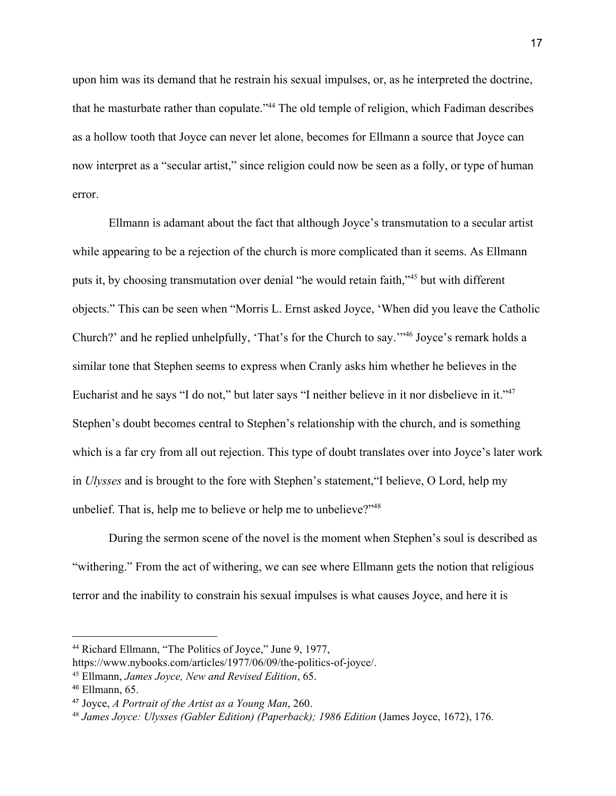upon him was its demand that he restrain his sexual impulses, or, as he interpreted the doctrine, that he masturbate rather than copulate."<sup>44</sup> The old temple of religion, which Fadiman describes as a hollow tooth that Joyce can never let alone, becomes for Ellmann a source that Joyce can now interpret as a "secular artist," since religion could now be seen as a folly, or type of human error.

Ellmann is adamant about the fact that although Joyce's transmutation to a secular artist while appearing to be a rejection of the church is more complicated than it seems. As Ellmann puts it, by choosing transmutation over denial "he would retain faith,"<sup>45</sup> but with different objects." This can be seen when "Morris L. Ernst asked Joyce, 'When did you leave the Catholic Church?' and he replied unhelpfully, 'That's for the Church to say.'"<sup>46</sup> Joyce's remark holds a similar tone that Stephen seems to express when Cranly asks him whether he believes in the Eucharist and he says "I do not," but later says "I neither believe in it nor disbelieve in it."<sup>47</sup> Stephen's doubt becomes central to Stephen's relationship with the church, and is something which is a far cry from all out rejection. This type of doubt translates over into Joyce's later work in *Ulysses* and is brought to the fore with Stephen's statement,"I believe, O Lord, help my unbelief. That is, help me to believe or help me to unbelieve?"<sup>48</sup>

During the sermon scene of the novel is the moment when Stephen's soul is described as "withering." From the act of withering, we can see where Ellmann gets the notion that religious terror and the inability to constrain his sexual impulses is what causes Joyce, and here it is

<sup>44</sup> Richard [Ellmann,](https://www.zotero.org/google-docs/?6QkVwp) "The Politics of Joyce," June 9, 1977,

[https://www.nybooks.com/articles/1977/06/09/the-politics-of-joyce/.](https://www.zotero.org/google-docs/?6QkVwp)

<sup>45</sup> [Ellmann,](https://www.zotero.org/google-docs/?4mTplh) *James Joyce, New and [Revised](https://www.zotero.org/google-docs/?4mTplh) Edition*, [65.](https://www.zotero.org/google-docs/?4mTplh)

<sup>46</sup> [Ellmann,](https://www.zotero.org/google-docs/?SHfhl1) 65.

<sup>47</sup> [Joyce,](https://www.zotero.org/google-docs/?pMGbMi) *A [Portrait](https://www.zotero.org/google-docs/?pMGbMi) of the Artist as a Young Man*, [260.](https://www.zotero.org/google-docs/?pMGbMi)

<sup>48</sup> *James Joyce: Ulysses (Gabler Edition) [\(Paperback\);](https://www.zotero.org/google-docs/?aEcQBt) 1986 Edition* [\(James](https://www.zotero.org/google-docs/?aEcQBt) Joyce, 1672), 176.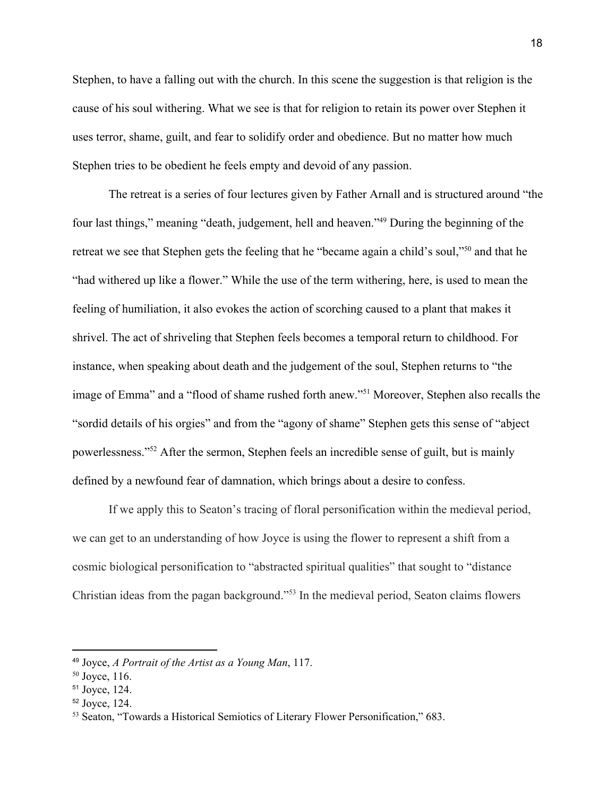Stephen, to have a falling out with the church. In this scene the suggestion is that religion is the cause of his soul withering. What we see is that for religion to retain its power over Stephen it uses terror, shame, guilt, and fear to solidify order and obedience. But no matter how much Stephen tries to be obedient he feels empty and devoid of any passion.

The retreat is a series of four lectures given by Father Arnall and is structured around "the four last things," meaning "death, judgement, hell and heaven."<sup>49</sup> During the beginning of the retreat we see that Stephen gets the feeling that he "became again a child's soul,"<sup>50</sup> and that he "had withered up like a flower." While the use of the term withering, here, is used to mean the feeling of humiliation, it also evokes the action of scorching caused to a plant that makes it shrivel. The act of shriveling that Stephen feels becomes a temporal return to childhood. For instance, when speaking about death and the judgement of the soul, Stephen returns to "the image of Emma" and a "flood of shame rushed forth anew."<sup>51</sup> Moreover, Stephen also recalls the "sordid details of his orgies" and from the "agony of shame" Stephen gets this sense of "abject powerlessness."<sup>52</sup> After the sermon, Stephen feels an incredible sense of guilt, but is mainly defined by a newfound fear of damnation, which brings about a desire to confess.

If we apply this to Seaton's tracing of floral personification within the medieval period, we can get to an understanding of how Joyce is using the flower to represent a shift from a cosmic biological personification to "abstracted spiritual qualities" that sought to "distance Christian ideas from the pagan background."<sup>53</sup> In the medieval period, Seaton claims flowers

<sup>49</sup> [Joyce,](https://www.zotero.org/google-docs/?dkqC71) *A [Portrait](https://www.zotero.org/google-docs/?dkqC71) of the Artist as a Young Man*, [117.](https://www.zotero.org/google-docs/?dkqC71)

 $50$  [Joyce,](https://www.zotero.org/google-docs/?4gjmSm) 116.

<sup>51</sup> [Joyce,](https://www.zotero.org/google-docs/?BSfjHV) 124.

<sup>52</sup> [Joyce,](https://www.zotero.org/google-docs/?0P48IW) 124.

<sup>53</sup> Seaton, "Towards a Historical Semiotics of Literary Flower [Personification,"](https://www.zotero.org/google-docs/?ZNEUfA) 683.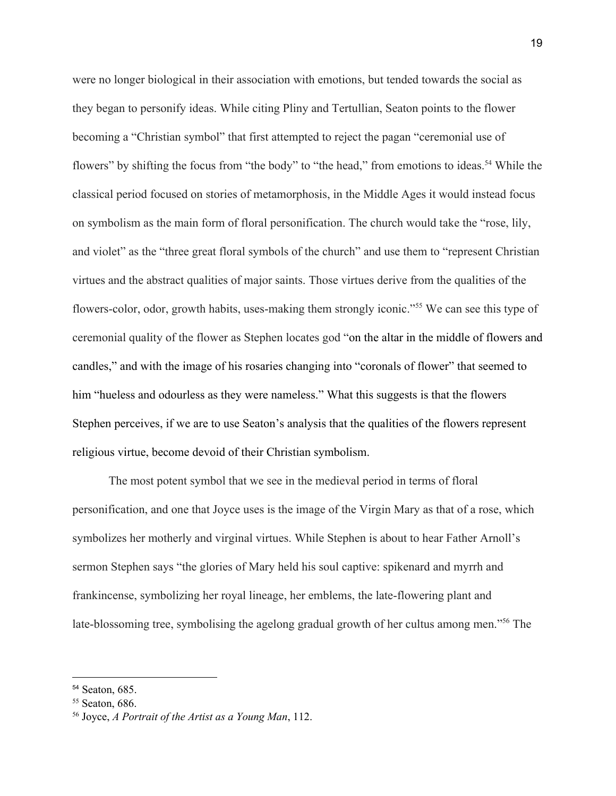were no longer biological in their association with emotions, but tended towards the social as they began to personify ideas. While citing Pliny and Tertullian, Seaton points to the flower becoming a "Christian symbol" that first attempted to reject the pagan "ceremonial use of flowers" by shifting the focus from "the body" to "the head," from emotions to ideas.<sup>54</sup> While the classical period focused on stories of metamorphosis, in the Middle Ages it would instead focus on symbolism as the main form of floral personification. The church would take the "rose, lily, and violet" as the "three great floral symbols of the church" and use them to "represent Christian virtues and the abstract qualities of major saints. Those virtues derive from the qualities of the flowers-color, odor, growth habits, uses-making them strongly iconic."<sup>55</sup> We can see this type of ceremonial quality of the flower as Stephen locates god "on the altar in the middle of flowers and candles," and with the image of his rosaries changing into "coronals of flower" that seemed to him "hueless and odourless as they were nameless." What this suggests is that the flowers Stephen perceives, if we are to use Seaton's analysis that the qualities of the flowers represent religious virtue, become devoid of their Christian symbolism.

The most potent symbol that we see in the medieval period in terms of floral personification, and one that Joyce uses is the image of the Virgin Mary as that of a rose, which symbolizes her motherly and virginal virtues. While Stephen is about to hear Father Arnoll's sermon Stephen says "the glories of Mary held his soul captive: spikenard and myrrh and frankincense, symbolizing her royal lineage, her emblems, the late-flowering plant and late-blossoming tree, symbolising the agelong gradual growth of her cultus among men."<sup>56</sup> The

<sup>54</sup> [Seaton,](https://www.zotero.org/google-docs/?dnvXFt) 685.

<sup>55</sup> [Seaton,](https://www.zotero.org/google-docs/?VOE5JG) 686.

<sup>56</sup> [Joyce,](https://www.zotero.org/google-docs/?R0yWNV) *A [Portrait](https://www.zotero.org/google-docs/?R0yWNV) of the Artist as a Young Man*, [112.](https://www.zotero.org/google-docs/?R0yWNV)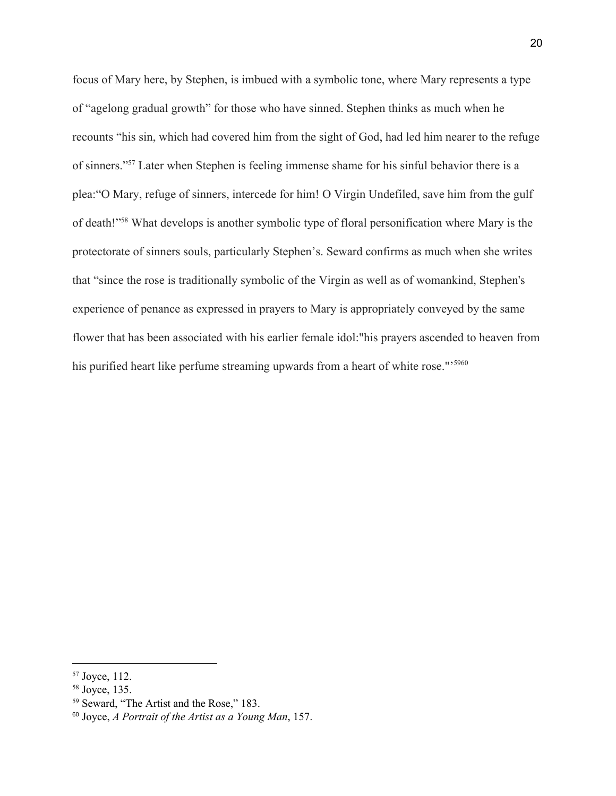focus of Mary here, by Stephen, is imbued with a symbolic tone, where Mary represents a type of "agelong gradual growth" for those who have sinned. Stephen thinks as much when he recounts "his sin, which had covered him from the sight of God, had led him nearer to the refuge of sinners."<sup>57</sup> Later when Stephen is feeling immense shame for his sinful behavior there is a plea:"O Mary, refuge of sinners, intercede for him! O Virgin Undefiled, save him from the gulf of death!"<sup>58</sup> What develops is another symbolic type of floral personification where Mary is the protectorate of sinners souls, particularly Stephen's. Seward confirms as much when she writes that "since the rose is traditionally symbolic of the Virgin as well as of womankind, Stephen's experience of penance as expressed in prayers to Mary is appropriately conveyed by the same flower that has been associated with his earlier female idol:"his prayers ascended to heaven from his purified heart like perfume streaming upwards from a heart of white rose."<sup>5960</sup>

<sup>57</sup> [Joyce,](https://www.zotero.org/google-docs/?9yNeIT) 112.

<sup>58</sup> [Joyce,](https://www.zotero.org/google-docs/?KSTXRX) 135.

<sup>59</sup> [Seward,](https://www.zotero.org/google-docs/?RTy7jN) "The Artist and the Rose," 183.

<sup>60</sup> [Joyce,](https://www.zotero.org/google-docs/?8px1LU) *A [Portrait](https://www.zotero.org/google-docs/?8px1LU) of the Artist as a Young Man*, [157.](https://www.zotero.org/google-docs/?8px1LU)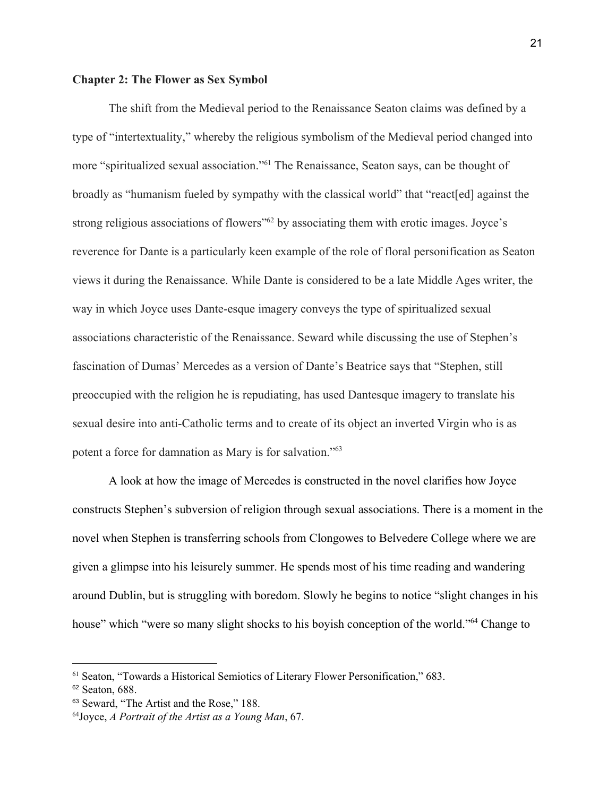#### **Chapter 2: The Flower as Sex Symbol**

The shift from the Medieval period to the Renaissance Seaton claims was defined by a type of "intertextuality," whereby the religious symbolism of the Medieval period changed into more "spiritualized sexual association."<sup>61</sup> The Renaissance, Seaton says, can be thought of broadly as "humanism fueled by sympathy with the classical world" that "react[ed] against the strong religious associations of flowers<sup> $\frac{1}{2}$ </sup> by associating them with erotic images. Joyce's reverence for Dante is a particularly keen example of the role of floral personification as Seaton views it during the Renaissance. While Dante is considered to be a late Middle Ages writer, the way in which Joyce uses Dante-esque imagery conveys the type of spiritualized sexual associations characteristic of the Renaissance. Seward while discussing the use of Stephen's fascination of Dumas' Mercedes as a version of Dante's Beatrice says that "Stephen, still preoccupied with the religion he is repudiating, has used Dantesque imagery to translate his sexual desire into anti-Catholic terms and to create of its object an inverted Virgin who is as potent a force for damnation as Mary is for salvation."<sup>63</sup>

A look at how the image of Mercedes is constructed in the novel clarifies how Joyce constructs Stephen's subversion of religion through sexual associations. There is a moment in the novel when Stephen is transferring schools from Clongowes to Belvedere College where we are given a glimpse into his leisurely summer. He spends most of his time reading and wandering around Dublin, but is struggling with boredom. Slowly he begins to notice "slight changes in his house" which "were so many slight shocks to his boyish conception of the world."<sup>64</sup> Change to

<sup>61</sup> Seaton, "Towards a Historical Semiotics of Literary Flower [Personification,"](https://www.zotero.org/google-docs/?gYVDwR) 683.

<sup>&</sup>lt;sup>62</sup> [Seaton,](https://www.zotero.org/google-docs/?R3bpe1) 688.

<sup>&</sup>lt;sup>63</sup> [Seward,](https://www.zotero.org/google-docs/?ukAXBD) "The Artist and the Rose," 188.

<sup>64</sup>[Joyce,](https://www.zotero.org/google-docs/?aNy91Q) *A [Portrait](https://www.zotero.org/google-docs/?aNy91Q) of the Artist as a Young Man*, [67.](https://www.zotero.org/google-docs/?aNy91Q)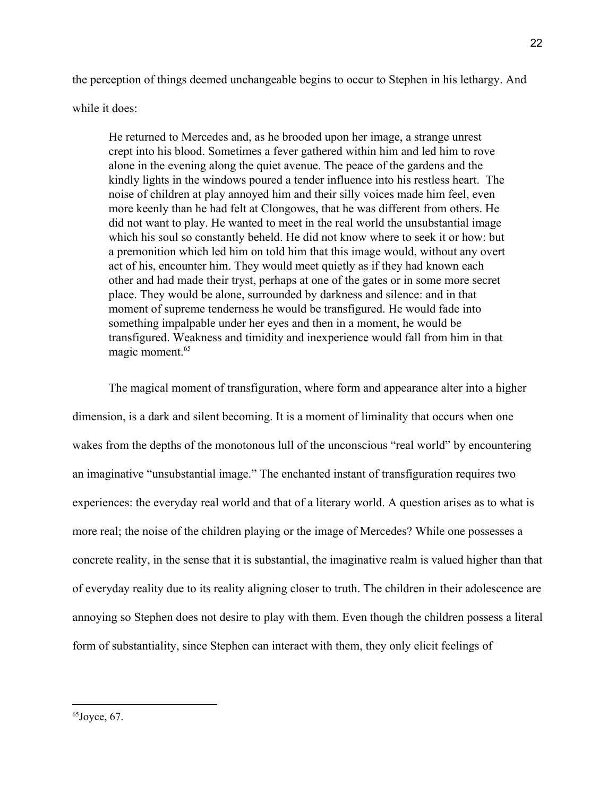the perception of things deemed unchangeable begins to occur to Stephen in his lethargy. And

while it does:

He returned to Mercedes and, as he brooded upon her image, a strange unrest crept into his blood. Sometimes a fever gathered within him and led him to rove alone in the evening along the quiet avenue. The peace of the gardens and the kindly lights in the windows poured a tender influence into his restless heart. The noise of children at play annoyed him and their silly voices made him feel, even more keenly than he had felt at Clongowes, that he was different from others. He did not want to play. He wanted to meet in the real world the unsubstantial image which his soul so constantly beheld. He did not know where to seek it or how: but a premonition which led him on told him that this image would, without any overt act of his, encounter him. They would meet quietly as if they had known each other and had made their tryst, perhaps at one of the gates or in some more secret place. They would be alone, surrounded by darkness and silence: and in that moment of supreme tenderness he would be transfigured. He would fade into something impalpable under her eyes and then in a moment, he would be transfigured. Weakness and timidity and inexperience would fall from him in that magic moment.<sup>65</sup>

The magical moment of transfiguration, where form and appearance alter into a higher dimension, is a dark and silent becoming. It is a moment of liminality that occurs when one wakes from the depths of the monotonous lull of the unconscious "real world" by encountering an imaginative "unsubstantial image." The enchanted instant of transfiguration requires two experiences: the everyday real world and that of a literary world. A question arises as to what is more real; the noise of the children playing or the image of Mercedes? While one possesses a concrete reality, in the sense that it is substantial, the imaginative realm is valued higher than that of everyday reality due to its reality aligning closer to truth. The children in their adolescence are annoying so Stephen does not desire to play with them. Even though the children possess a literal form of substantiality, since Stephen can interact with them, they only elicit feelings of

 $65$ [Joyce,](https://www.zotero.org/google-docs/?Ikcrp1)  $67$ .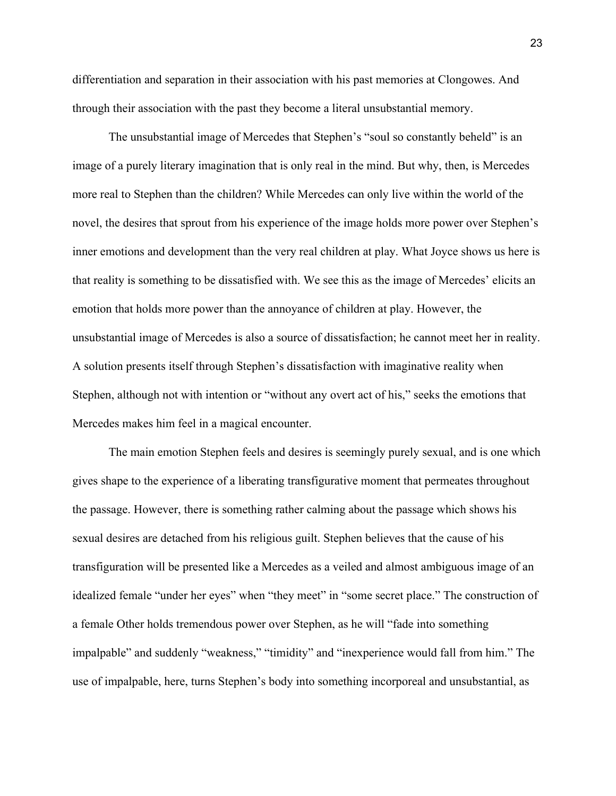differentiation and separation in their association with his past memories at Clongowes. And through their association with the past they become a literal unsubstantial memory.

The unsubstantial image of Mercedes that Stephen's "soul so constantly beheld" is an image of a purely literary imagination that is only real in the mind. But why, then, is Mercedes more real to Stephen than the children? While Mercedes can only live within the world of the novel, the desires that sprout from his experience of the image holds more power over Stephen's inner emotions and development than the very real children at play. What Joyce shows us here is that reality is something to be dissatisfied with. We see this as the image of Mercedes' elicits an emotion that holds more power than the annoyance of children at play. However, the unsubstantial image of Mercedes is also a source of dissatisfaction; he cannot meet her in reality. A solution presents itself through Stephen's dissatisfaction with imaginative reality when Stephen, although not with intention or "without any overt act of his," seeks the emotions that Mercedes makes him feel in a magical encounter.

The main emotion Stephen feels and desires is seemingly purely sexual, and is one which gives shape to the experience of a liberating transfigurative moment that permeates throughout the passage. However, there is something rather calming about the passage which shows his sexual desires are detached from his religious guilt. Stephen believes that the cause of his transfiguration will be presented like a Mercedes as a veiled and almost ambiguous image of an idealized female "under her eyes" when "they meet" in "some secret place." The construction of a female Other holds tremendous power over Stephen, as he will "fade into something impalpable" and suddenly "weakness," "timidity" and "inexperience would fall from him." The use of impalpable, here, turns Stephen's body into something incorporeal and unsubstantial, as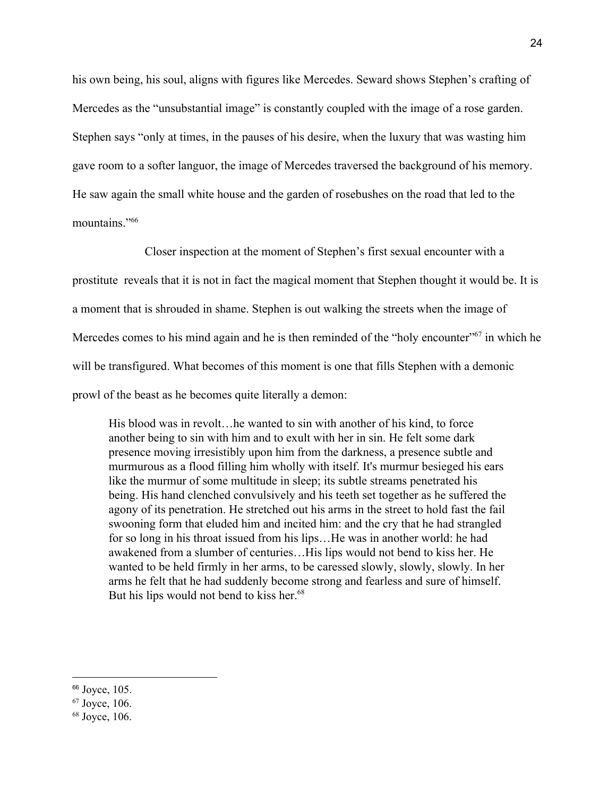his own being, his soul, aligns with figures like Mercedes. Seward shows Stephen's crafting of Mercedes as the "unsubstantial image" is constantly coupled with the image of a rose garden. Stephen says "only at times, in the pauses of his desire, when the luxury that was wasting him gave room to a softer languor, the image of Mercedes traversed the background of his memory. He saw again the small white house and the garden of rosebushes on the road that led to the mountains."<sup>66</sup>

Closer inspection at the moment of Stephen's first sexual encounter with a prostitute reveals that it is not in fact the magical moment that Stephen thought it would be. It is a moment that is shrouded in shame. Stephen is out walking the streets when the image of Mercedes comes to his mind again and he is then reminded of the "holy encounter" in which he will be transfigured. What becomes of this moment is one that fills Stephen with a demonic prowl of the beast as he becomes quite literally a demon:

His blood was in revolt…he wanted to sin with another of his kind, to force another being to sin with him and to exult with her in sin. He felt some dark presence moving irresistibly upon him from the darkness, a presence subtle and murmurous as a flood filling him wholly with itself. It's murmur besieged his ears like the murmur of some multitude in sleep; its subtle streams penetrated his being. His hand clenched convulsively and his teeth set together as he suffered the agony of its penetration. He stretched out his arms in the street to hold fast the fail swooning form that eluded him and incited him: and the cry that he had strangled for so long in his throat issued from his lips…He was in another world: he had awakened from a slumber of centuries…His lips would not bend to kiss her. He wanted to be held firmly in her arms, to be caressed slowly, slowly, slowly. In her arms he felt that he had suddenly become strong and fearless and sure of himself. But his lips would not bend to kiss her.<sup>68</sup>

<sup>66</sup> [Joyce,](https://www.zotero.org/google-docs/?tIk9k2) 105[.](https://www.zotero.org/google-docs/?tIk9k2)

<sup>67</sup> [Joyce,](https://www.zotero.org/google-docs/?j8I7l0) 106.

<sup>68</sup> [Joyce,](https://www.zotero.org/google-docs/?akR512) 106.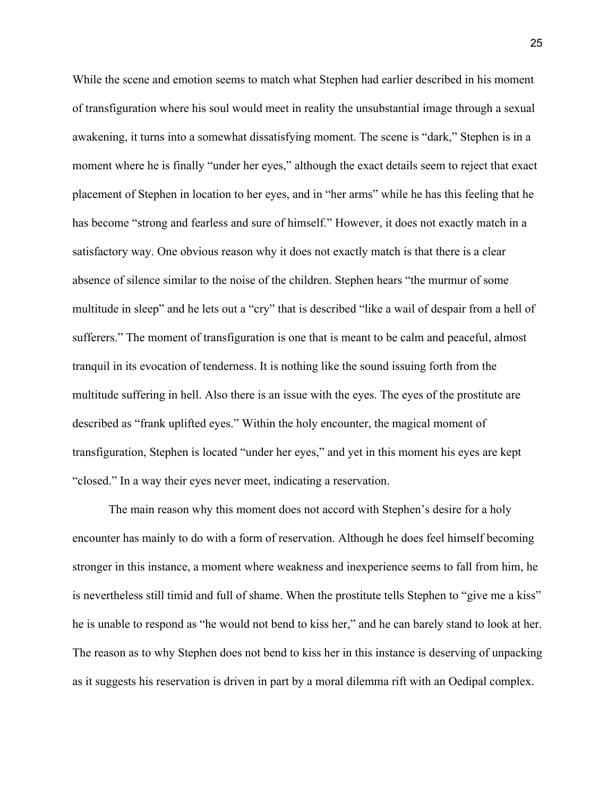While the scene and emotion seems to match what Stephen had earlier described in his moment of transfiguration where his soul would meet in reality the unsubstantial image through a sexual awakening, it turns into a somewhat dissatisfying moment. The scene is "dark," Stephen is in a moment where he is finally "under her eyes," although the exact details seem to reject that exact placement of Stephen in location to her eyes, and in "her arms" while he has this feeling that he has become "strong and fearless and sure of himself." However, it does not exactly match in a satisfactory way. One obvious reason why it does not exactly match is that there is a clear absence of silence similar to the noise of the children. Stephen hears "the murmur of some multitude in sleep" and he lets out a "cry" that is described "like a wail of despair from a hell of sufferers." The moment of transfiguration is one that is meant to be calm and peaceful, almost tranquil in its evocation of tenderness. It is nothing like the sound issuing forth from the multitude suffering in hell. Also there is an issue with the eyes. The eyes of the prostitute are described as "frank uplifted eyes." Within the holy encounter, the magical moment of transfiguration, Stephen is located "under her eyes," and yet in this moment his eyes are kept "closed." In a way their eyes never meet, indicating a reservation.

The main reason why this moment does not accord with Stephen's desire for a holy encounter has mainly to do with a form of reservation. Although he does feel himself becoming stronger in this instance, a moment where weakness and inexperience seems to fall from him, he is nevertheless still timid and full of shame. When the prostitute tells Stephen to "give me a kiss" he is unable to respond as "he would not bend to kiss her," and he can barely stand to look at her. The reason as to why Stephen does not bend to kiss her in this instance is deserving of unpacking as it suggests his reservation is driven in part by a moral dilemma rift with an Oedipal complex.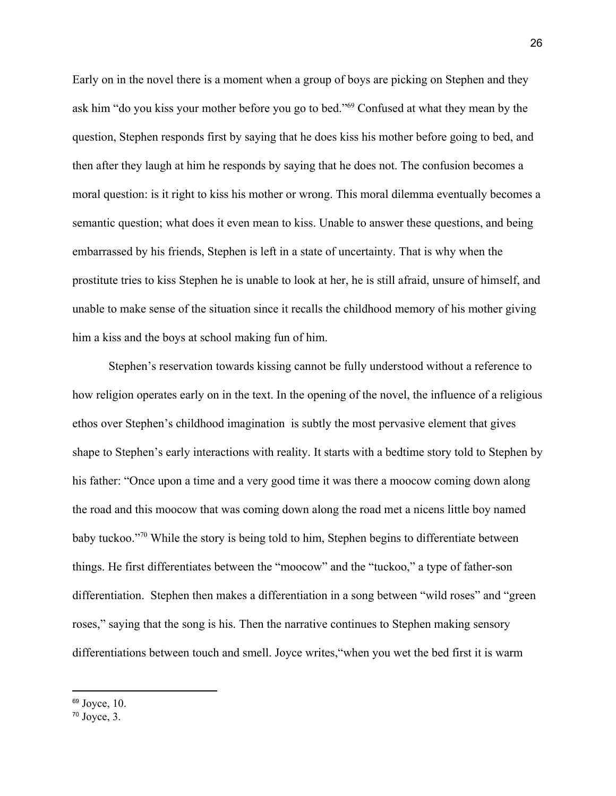Early on in the novel there is a moment when a group of boys are picking on Stephen and they ask him "do you kiss your mother before you go to bed."<sup>69</sup> Confused at what they mean by the question, Stephen responds first by saying that he does kiss his mother before going to bed, and then after they laugh at him he responds by saying that he does not. The confusion becomes a moral question: is it right to kiss his mother or wrong. This moral dilemma eventually becomes a semantic question; what does it even mean to kiss. Unable to answer these questions, and being embarrassed by his friends, Stephen is left in a state of uncertainty. That is why when the prostitute tries to kiss Stephen he is unable to look at her, he is still afraid, unsure of himself, and unable to make sense of the situation since it recalls the childhood memory of his mother giving him a kiss and the boys at school making fun of him.

Stephen's reservation towards kissing cannot be fully understood without a reference to how religion operates early on in the text. In the opening of the novel, the influence of a religious ethos over Stephen's childhood imagination is subtly the most pervasive element that gives shape to Stephen's early interactions with reality. It starts with a bedtime story told to Stephen by his father: "Once upon a time and a very good time it was there a moocow coming down along the road and this moocow that was coming down along the road met a nicens little boy named baby tuckoo."<sup>70</sup> While the story is being told to him, Stephen begins to differentiate between things. He first differentiates between the "moocow" and the "tuckoo," a type of father-son differentiation. Stephen then makes a differentiation in a song between "wild roses" and "green roses," saying that the song is his. Then the narrative continues to Stephen making sensory differentiations between touch and smell. Joyce writes,"when you wet the bed first it is warm

 $69$  [Joyce,](https://www.zotero.org/google-docs/?7yG8pt) 10.

 $70$  [Joyce,](https://www.zotero.org/google-docs/?whq5pH)  $3$ .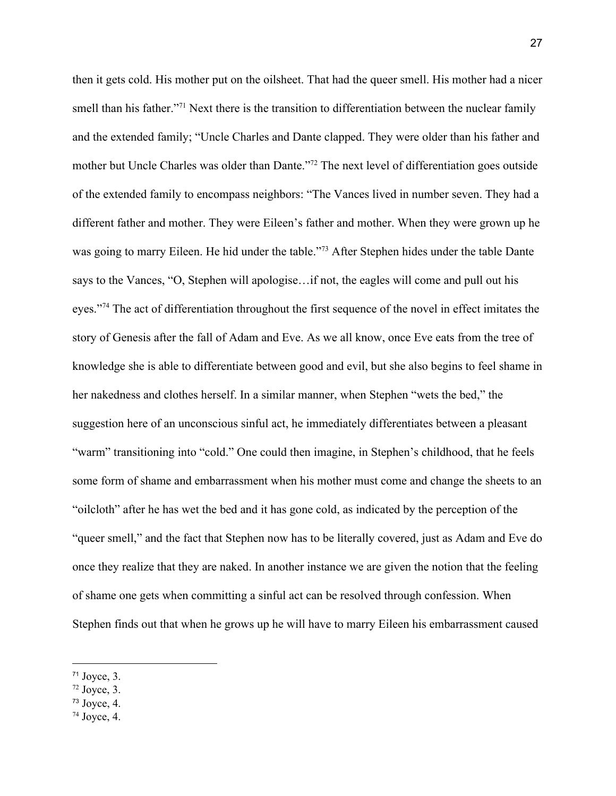then it gets cold. His mother put on the oilsheet. That had the queer smell. His mother had a nicer smell than his father."<sup>71</sup> Next there is the transition to differentiation between the nuclear family and the extended family; "Uncle Charles and Dante clapped. They were older than his father and mother but Uncle Charles was older than Dante."<sup>72</sup> The next level of differentiation goes outside of the extended family to encompass neighbors: "The Vances lived in number seven. They had a different father and mother. They were Eileen's father and mother. When they were grown up he was going to marry Eileen. He hid under the table."<sup>73</sup> After Stephen hides under the table Dante says to the Vances, "O, Stephen will apologise…if not, the eagles will come and pull out his eyes."<sup>74</sup> The act of differentiation throughout the first sequence of the novel in effect imitates the story of Genesis after the fall of Adam and Eve. As we all know, once Eve eats from the tree of knowledge she is able to differentiate between good and evil, but she also begins to feel shame in her nakedness and clothes herself. In a similar manner, when Stephen "wets the bed," the suggestion here of an unconscious sinful act, he immediately differentiates between a pleasant "warm" transitioning into "cold." One could then imagine, in Stephen's childhood, that he feels some form of shame and embarrassment when his mother must come and change the sheets to an "oilcloth" after he has wet the bed and it has gone cold, as indicated by the perception of the "queer smell," and the fact that Stephen now has to be literally covered, just as Adam and Eve do once they realize that they are naked. In another instance we are given the notion that the feeling of shame one gets when committing a sinful act can be resolved through confession. When Stephen finds out that when he grows up he will have to marry Eileen his embarrassment caused

 $71$  [Joyce,](https://www.zotero.org/google-docs/?2QrPmN) 3.

 $72$  [Joyce,](https://www.zotero.org/google-docs/?UIQE0m) 3.

 $73$  [Joyce,](https://www.zotero.org/google-docs/?47ZUP3) 4.

 $74$  [Joyce,](https://www.zotero.org/google-docs/?gxzTuP) 4.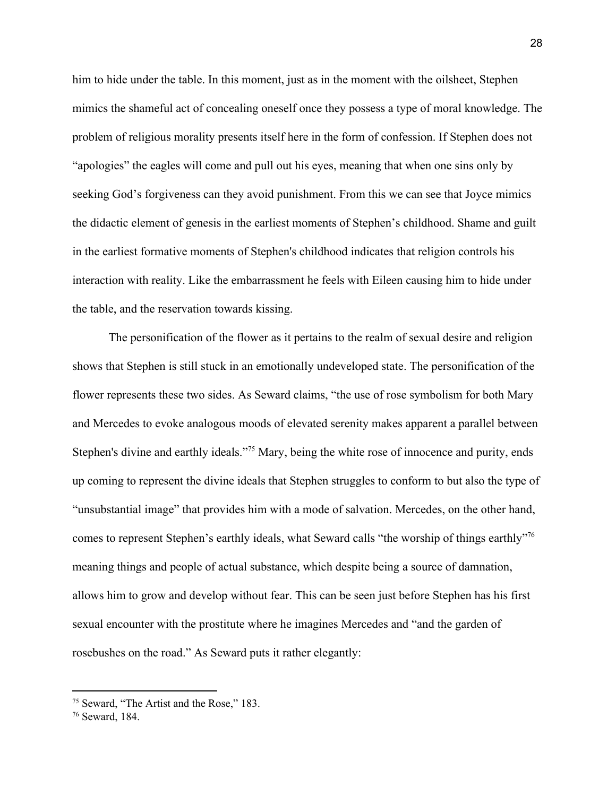him to hide under the table. In this moment, just as in the moment with the oilsheet, Stephen mimics the shameful act of concealing oneself once they possess a type of moral knowledge. The problem of religious morality presents itself here in the form of confession. If Stephen does not "apologies" the eagles will come and pull out his eyes, meaning that when one sins only by seeking God's forgiveness can they avoid punishment. From this we can see that Joyce mimics the didactic element of genesis in the earliest moments of Stephen's childhood. Shame and guilt in the earliest formative moments of Stephen's childhood indicates that religion controls his interaction with reality. Like the embarrassment he feels with Eileen causing him to hide under the table, and the reservation towards kissing.

The personification of the flower as it pertains to the realm of sexual desire and religion shows that Stephen is still stuck in an emotionally undeveloped state. The personification of the flower represents these two sides. As Seward claims, "the use of rose symbolism for both Mary and Mercedes to evoke analogous moods of elevated serenity makes apparent a parallel between Stephen's divine and earthly ideals."<sup>75</sup> Mary, being the white rose of innocence and purity, ends up coming to represent the divine ideals that Stephen struggles to conform to but also the type of "unsubstantial image" that provides him with a mode of salvation. Mercedes, on the other hand, comes to represent Stephen's earthly ideals, what Seward calls "the worship of things earthly"<sup>76</sup> meaning things and people of actual substance, which despite being a source of damnation, allows him to grow and develop without fear. This can be seen just before Stephen has his first sexual encounter with the prostitute where he imagines Mercedes and "and the garden of rosebushes on the road." As Seward puts it rather elegantly:

<sup>75</sup> [Seward,](https://www.zotero.org/google-docs/?cVcq55) "The Artist and the Rose," 183.

<sup>76</sup> [Seward,](https://www.zotero.org/google-docs/?EIavqu) 184.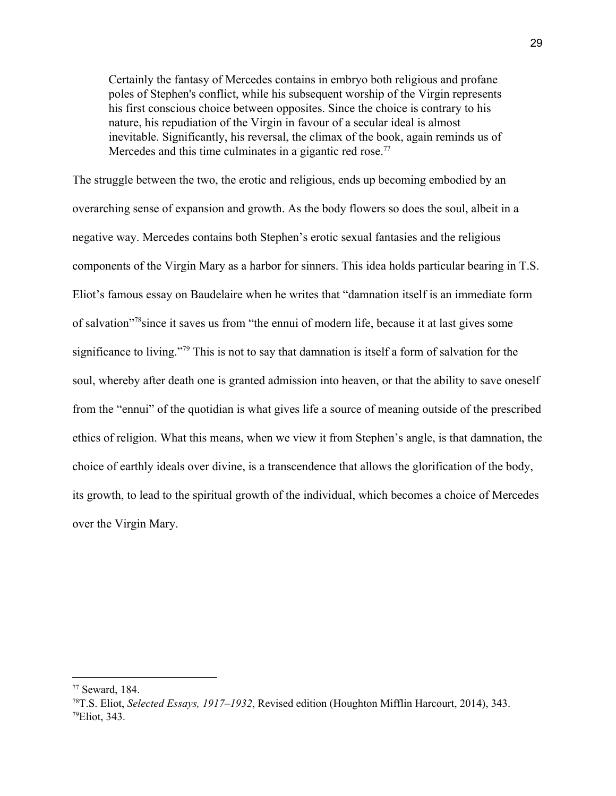Certainly the fantasy of Mercedes contains in embryo both religious and profane poles of Stephen's conflict, while his subsequent worship of the Virgin represents his first conscious choice between opposites. Since the choice is contrary to his nature, his repudiation of the Virgin in favour of a secular ideal is almost inevitable. Significantly, his reversal, the climax of the book, again reminds us of Mercedes and this time culminates in a gigantic red rose.<sup>77</sup>

The struggle between the two, the erotic and religious, ends up becoming embodied by an overarching sense of expansion and growth. As the body flowers so does the soul, albeit in a negative way. Mercedes contains both Stephen's erotic sexual fantasies and the religious components of the Virgin Mary as a harbor for sinners. This idea holds particular bearing in T.S. Eliot's famous essay on Baudelaire when he writes that "damnation itself is an immediate form of salvation<sup>"/8</sup> since it saves us from "the ennui of modern life, because it at last gives some significance to living."<sup>79</sup> This is not to say that damnation is itself a form of salvation for the soul, whereby after death one is granted admission into heaven, or that the ability to save oneself from the "ennui" of the quotidian is what gives life a source of meaning outside of the prescribed ethics of religion. What this means, when we view it from Stephen's angle, is that damnation, the choice of earthly ideals over divine, is a transcendence that allows the glorification of the body, its growth, to lead to the spiritual growth of the individual, which becomes a choice of Mercedes over the Virgin Mary.

<sup>77</sup> [Seward,](https://www.zotero.org/google-docs/?a5GVkW) 184.

<sup>78</sup>T.S. [Eliot,](https://www.zotero.org/google-docs/?kzFUZX) *Selected Essays, [1917–1932](https://www.zotero.org/google-docs/?kzFUZX)*, Revised edition [\(Houghton](https://www.zotero.org/google-docs/?kzFUZX) Mifflin Harcourt, 2014), 343. <sup>79</sup>[Eliot,](https://www.zotero.org/google-docs/?HDY4ET) 343.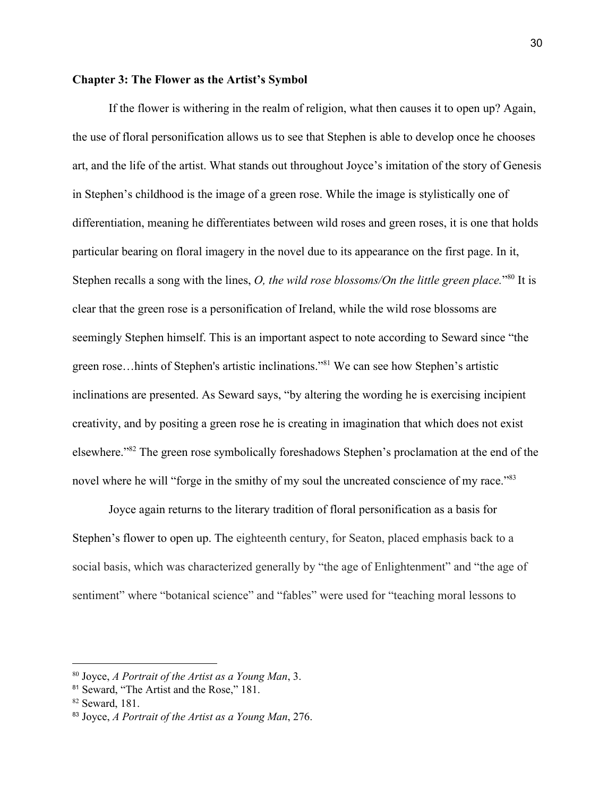#### **Chapter 3: The Flower as the Artist's Symbol**

If the flower is withering in the realm of religion, what then causes it to open up? Again, the use of floral personification allows us to see that Stephen is able to develop once he chooses art, and the life of the artist. What stands out throughout Joyce's imitation of the story of Genesis in Stephen's childhood is the image of a green rose. While the image is stylistically one of differentiation, meaning he differentiates between wild roses and green roses, it is one that holds particular bearing on floral imagery in the novel due to its appearance on the first page. In it, Stephen recalls a song with the lines, *O, the wild rose blossoms/On the little green place*."<sup>80</sup> It is clear that the green rose is a personification of Ireland, while the wild rose blossoms are seemingly Stephen himself. This is an important aspect to note according to Seward since "the green rose...hints of Stephen's artistic inclinations."<sup>81</sup> We can see how Stephen's artistic inclinations are presented. As Seward says, "by altering the wording he is exercising incipient creativity, and by positing a green rose he is creating in imagination that which does not exist elsewhere."<sup>82</sup> The green rose symbolically foreshadows Stephen's proclamation at the end of the novel where he will "forge in the smithy of my soul the uncreated conscience of my race."<sup>83</sup>

Joyce again returns to the literary tradition of floral personification as a basis for Stephen's flower to open up. The eighteenth century, for Seaton, placed emphasis back to a social basis, which was characterized generally by "the age of Enlightenment" and "the age of sentiment" where "botanical science" and "fables" were used for "teaching moral lessons to

<sup>80</sup> [Joyce,](https://www.zotero.org/google-docs/?iNglZL) *A [Portrait](https://www.zotero.org/google-docs/?iNglZL) of the Artist as a Young Man*, [3.](https://www.zotero.org/google-docs/?iNglZL)

<sup>&</sup>lt;sup>81</sup> [Seward,](https://www.zotero.org/google-docs/?dDFkbu) "The Artist and the Rose," 181.

<sup>82</sup> [Seward,](https://www.zotero.org/google-docs/?gUOZvE) 181.

<sup>83</sup> [Joyce,](https://www.zotero.org/google-docs/?nrvsyP) *A [Portrait](https://www.zotero.org/google-docs/?nrvsyP) of the Artist as a Young Man*, [276.](https://www.zotero.org/google-docs/?nrvsyP)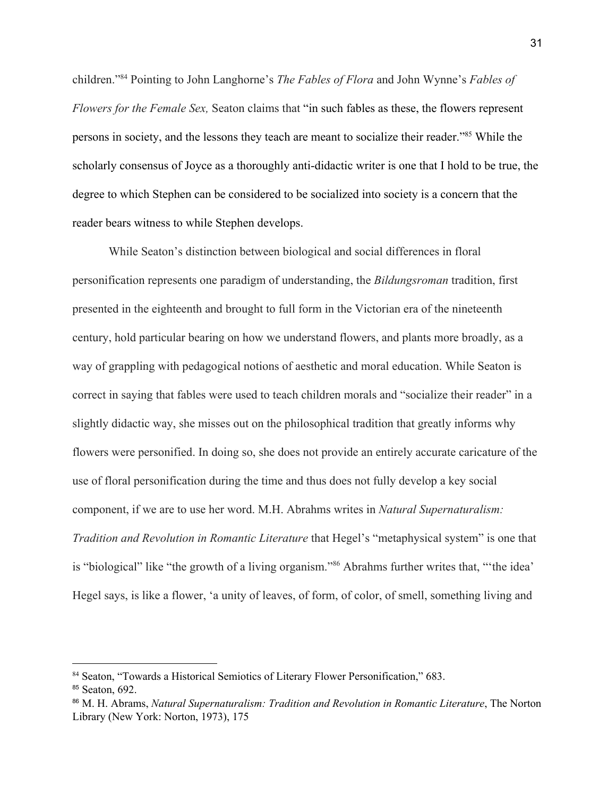children."<sup>84</sup> Pointing to John Langhorne's *The Fables of Flora* and John Wynne's *Fables of Flowers for the Female Sex,* Seaton claims that "in such fables as these, the flowers represent persons in society, and the lessons they teach are meant to socialize their reader."<sup>85</sup> While the scholarly consensus of Joyce as a thoroughly anti-didactic writer is one that I hold to be true, the degree to which Stephen can be considered to be socialized into society is a concern that the reader bears witness to while Stephen develops.

While Seaton's distinction between biological and social differences in floral personification represents one paradigm of understanding, the *Bildungsroman* tradition, first presented in the eighteenth and brought to full form in the Victorian era of the nineteenth century, hold particular bearing on how we understand flowers, and plants more broadly, as a way of grappling with pedagogical notions of aesthetic and moral education. While Seaton is correct in saying that fables were used to teach children morals and "socialize their reader" in a slightly didactic way, she misses out on the philosophical tradition that greatly informs why flowers were personified. In doing so, she does not provide an entirely accurate caricature of the use of floral personification during the time and thus does not fully develop a key social component, if we are to use her word. M.H. Abrahms writes in *Natural Supernaturalism: Tradition and Revolution in Romantic Literature* that Hegel's "metaphysical system" is one that is "biological" like "the growth of a living organism."<sup>86</sup> Abrahms further writes that, "'the idea' Hegel says, is like a flower, 'a unity of leaves, of form, of color, of smell, something living and

<sup>84</sup> Seaton, "Towards a Historical Semiotics of Literary Flower [Personification,"](https://www.zotero.org/google-docs/?RLunqB) 683. <sup>85</sup> [Seaton,](https://www.zotero.org/google-docs/?ko0lGl) 692.

<sup>86</sup> M. H. [Abrams,](https://www.zotero.org/google-docs/?YdLLSi) *Natural [Supernaturalism:](https://www.zotero.org/google-docs/?YdLLSi) Tradition and Revolution in Romantic Literature*, The [Norton](https://www.zotero.org/google-docs/?YdLLSi) Library (New York: [Norton,](https://www.zotero.org/google-docs/?YdLLSi) 1973), 175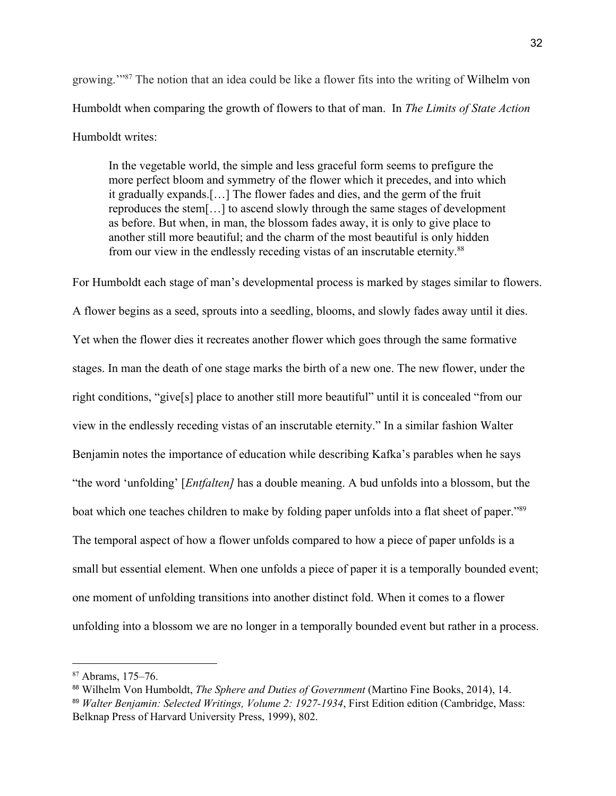growing."<sup>87</sup> The notion that an idea could be like a flower fits into the writing of Wilhelm von Humboldt when comparing the growth of flowers to that of man. In *The Limits of State Action* Humboldt writes:

In the vegetable world, the simple and less graceful form seems to prefigure the more perfect bloom and symmetry of the flower which it precedes, and into which it gradually expands.[…] The flower fades and dies, and the germ of the fruit reproduces the stem[…] to ascend slowly through the same stages of development as before. But when, in man, the blossom fades away, it is only to give place to another still more beautiful; and the charm of the most beautiful is only hidden from our view in the endlessly receding vistas of an inscrutable eternity.<sup>88</sup>

For Humboldt each stage of man's developmental process is marked by stages similar to flowers. A flower begins as a seed, sprouts into a seedling, blooms, and slowly fades away until it dies. Yet when the flower dies it recreates another flower which goes through the same formative stages. In man the death of one stage marks the birth of a new one. The new flower, under the right conditions, "give[s] place to another still more beautiful" until it is concealed "from our view in the endlessly receding vistas of an inscrutable eternity." In a similar fashion Walter Benjamin notes the importance of education while describing Kafka's parables when he says "the word 'unfolding' [*Entfalten]* has a double meaning. A bud unfolds into a blossom, but the boat which one teaches children to make by folding paper unfolds into a flat sheet of paper."<sup>89</sup> The temporal aspect of how a flower unfolds compared to how a piece of paper unfolds is a small but essential element. When one unfolds a piece of paper it is a temporally bounded event; one moment of unfolding transitions into another distinct fold. When it comes to a flower unfolding into a blossom we are no longer in a temporally bounded event but rather in a process.

<sup>87</sup> [Abrams,](https://www.zotero.org/google-docs/?qO23Bp) 175–76.

<sup>88</sup> Wilhelm Von [Humboldt,](https://www.zotero.org/google-docs/?XxwnfY) *The Sphere and Duties of [Government](https://www.zotero.org/google-docs/?XxwnfY)* [\(Martino](https://www.zotero.org/google-docs/?XxwnfY) Fine Books, 2014), 14. <sup>89</sup> *Walter Benjamin: Selected Writings, Volume 2: [1927-1934](https://www.zotero.org/google-docs/?R2G1W0)*, First Edition edition [\(Cambridge,](https://www.zotero.org/google-docs/?R2G1W0) Mass: Belknap Press of Harvard [University](https://www.zotero.org/google-docs/?R2G1W0) Press, 1999), 802.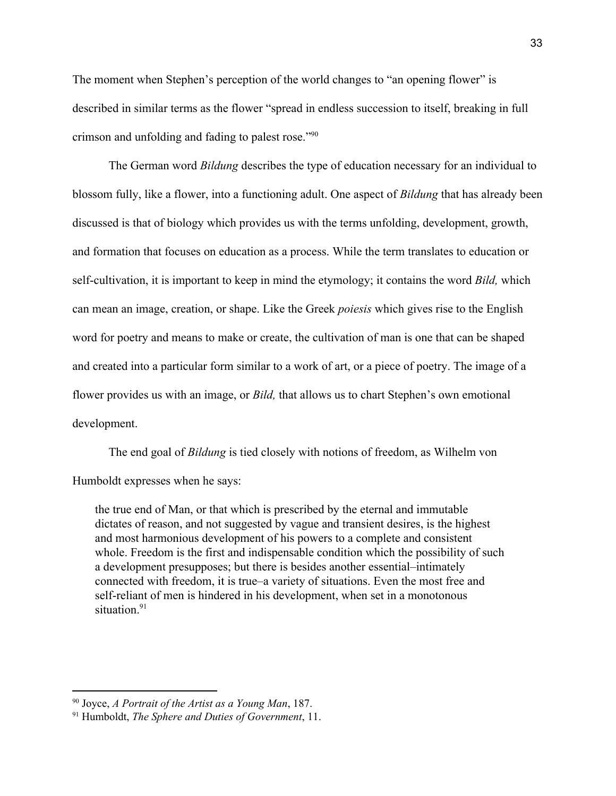The moment when Stephen's perception of the world changes to "an opening flower" is described in similar terms as the flower "spread in endless succession to itself, breaking in full crimson and unfolding and fading to palest rose."<sup>90</sup>

The German word *Bildung* describes the type of education necessary for an individual to blossom fully, like a flower, into a functioning adult. One aspect of *Bildung* that has already been discussed is that of biology which provides us with the terms unfolding, development, growth, and formation that focuses on education as a process. While the term translates to education or self-cultivation, it is important to keep in mind the etymology; it contains the word *Bild,* which can mean an image, creation, or shape. Like the Greek *poiesis* which gives rise to the English word for poetry and means to make or create, the cultivation of man is one that can be shaped and created into a particular form similar to a work of art, or a piece of poetry. The image of a flower provides us with an image, or *Bild,* that allows us to chart Stephen's own emotional development.

The end goal of *Bildung* is tied closely with notions of freedom, as Wilhelm von Humboldt expresses when he says:

the true end of Man, or that which is prescribed by the eternal and immutable dictates of reason, and not suggested by vague and transient desires, is the highest and most harmonious development of his powers to a complete and consistent whole. Freedom is the first and indispensable condition which the possibility of such a development presupposes; but there is besides another essential–intimately connected with freedom, it is true–a variety of situations. Even the most free and self-reliant of men is hindered in his development, when set in a monotonous situation.<sup>91</sup>

<sup>90</sup> [Joyce,](https://www.zotero.org/google-docs/?1IGOAB) *A [Portrait](https://www.zotero.org/google-docs/?1IGOAB) of the Artist as a Young Man*, [187.](https://www.zotero.org/google-docs/?1IGOAB)

<sup>91</sup> [Humboldt,](https://www.zotero.org/google-docs/?CPGwRc) *The Sphere and Duties of [Government](https://www.zotero.org/google-docs/?CPGwRc)*, [11.](https://www.zotero.org/google-docs/?CPGwRc)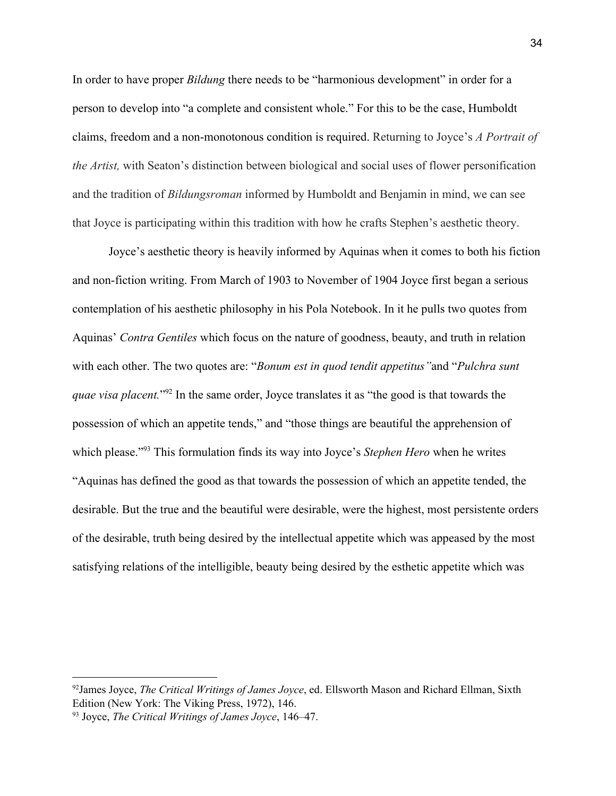In order to have proper *Bildung* there needs to be "harmonious development" in order for a person to develop into "a complete and consistent whole." For this to be the case, Humboldt claims, freedom and a non-monotonous condition is required. Returning to Joyce's *A Portrait of the Artist,* with Seaton's distinction between biological and social uses of flower personification and the tradition of *Bildungsroman* informed by Humboldt and Benjamin in mind, we can see that Joyce is participating within this tradition with how he crafts Stephen's aesthetic theory.

Joyce's aesthetic theory is heavily informed by Aquinas when it comes to both his fiction and non-fiction writing. From March of 1903 to November of 1904 Joyce first began a serious contemplation of his aesthetic philosophy in his Pola Notebook. In it he pulls two quotes from Aquinas' *Contra Gentiles* which focus on the nature of goodness, beauty, and truth in relation with each other. The two quotes are: "*Bonum est in quod tendit appetitus"*and "*Pulchra sunt quae visa placent.*"<sup>92</sup> In the same order, Joyce translates it as "the good is that towards the possession of which an appetite tends," and "those things are beautiful the apprehension of which please."<sup>93</sup> This formulation finds its way into Joyce's *Stephen Hero* when he writes "Aquinas has defined the good as that towards the possession of which an appetite tended, the desirable. But the true and the beautiful were desirable, were the highest, most persistente orders of the desirable, truth being desired by the intellectual appetite which was appeased by the most satisfying relations of the intelligible, beauty being desired by the esthetic appetite which was

<sup>92</sup>James [Joyce,](https://www.zotero.org/google-docs/?DiHi4G) *The Critical [Writings](https://www.zotero.org/google-docs/?DiHi4G) of James Joyce*, ed. [Ellsworth](https://www.zotero.org/google-docs/?DiHi4G) Mason and Richard Ellman, Sixth [Edition](https://www.zotero.org/google-docs/?DiHi4G) (New York: The Viking Press, 1972), 146.

<sup>93</sup> Joyce, *The Critical Writings of James Joyce*, 146–47.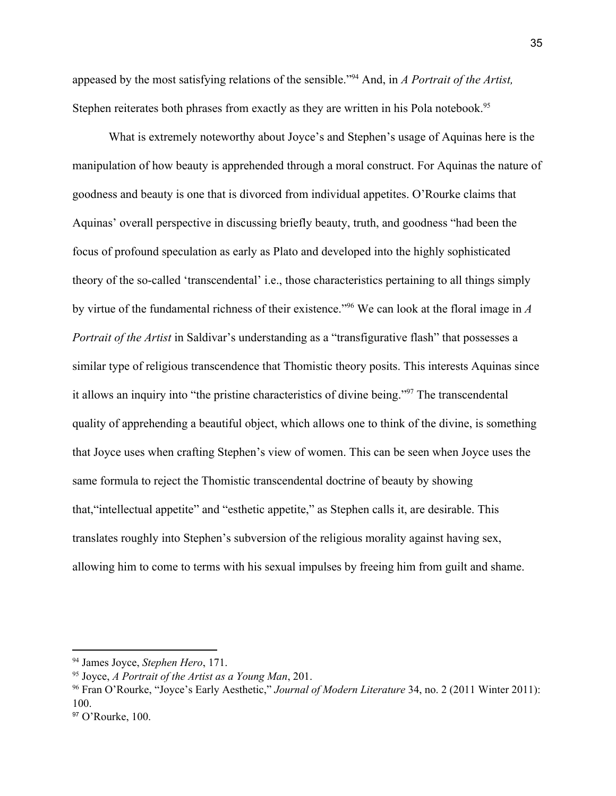appeased by the most satisfying relations of the sensible."<sup>94</sup> And, in *A Portrait of the Artist*, Stephen reiterates both phrases from exactly as they are written in his Pola notebook.<sup>95</sup>

What is extremely noteworthy about Joyce's and Stephen's usage of Aquinas here is the manipulation of how beauty is apprehended through a moral construct. For Aquinas the nature of goodness and beauty is one that is divorced from individual appetites. O'Rourke claims that Aquinas' overall perspective in discussing briefly beauty, truth, and goodness "had been the focus of profound speculation as early as Plato and developed into the highly sophisticated theory of the so-called 'transcendental' i.e., those characteristics pertaining to all things simply by virtue of the fundamental richness of their existence.<sup>"%</sup> We can look at the floral image in A *Portrait of the Artist* in Saldivar's understanding as a "transfigurative flash" that possesses a similar type of religious transcendence that Thomistic theory posits. This interests Aquinas since it allows an inquiry into "the pristine characteristics of divine being."<sup>97</sup> The transcendental quality of apprehending a beautiful object, which allows one to think of the divine, is something that Joyce uses when crafting Stephen's view of women. This can be seen when Joyce uses the same formula to reject the Thomistic transcendental doctrine of beauty by showing that,"intellectual appetite" and "esthetic appetite," as Stephen calls it, are desirable. This translates roughly into Stephen's subversion of the religious morality against having sex, allowing him to come to terms with his sexual impulses by freeing him from guilt and shame.

<sup>94</sup> James Joyce, *Stephen Hero*, 171.

<sup>95</sup> Joyce, *A Portrait of the Artist as a Young Man*, 201.

<sup>96</sup> Fran O'Rourke, "Joyce's Early [Aesthetic,"](https://www.zotero.org/google-docs/?gSywU0) *Journal of Modern [Literature](https://www.zotero.org/google-docs/?gSywU0)* 34, no. 2 (2011 [Winter](https://www.zotero.org/google-docs/?gSywU0) 2011): [100.](https://www.zotero.org/google-docs/?gSywU0)

<sup>97</sup> [O'Rourke,](https://www.zotero.org/google-docs/?jSuJMp) 100.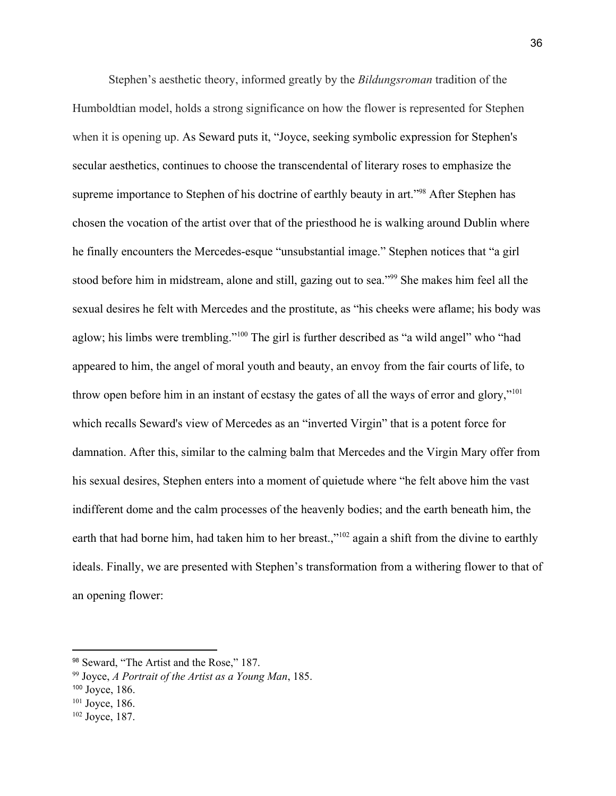Stephen's aesthetic theory, informed greatly by the *Bildungsroman* tradition of the Humboldtian model, holds a strong significance on how the flower is represented for Stephen when it is opening up. As Seward puts it, "Joyce, seeking symbolic expression for Stephen's secular aesthetics, continues to choose the transcendental of literary roses to emphasize the supreme importance to Stephen of his doctrine of earthly beauty in art."<sup>98</sup> After Stephen has chosen the vocation of the artist over that of the priesthood he is walking around Dublin where he finally encounters the Mercedes-esque "unsubstantial image." Stephen notices that "a girl stood before him in midstream, alone and still, gazing out to sea."<sup>99</sup> She makes him feel all the sexual desires he felt with Mercedes and the prostitute, as "his cheeks were aflame; his body was aglow; his limbs were trembling."<sup>100</sup> The girl is further described as "a wild angel" who "had appeared to him, the angel of moral youth and beauty, an envoy from the fair courts of life, to throw open before him in an instant of ecstasy the gates of all the ways of error and glory,"<sup>101</sup> which recalls Seward's view of Mercedes as an "inverted Virgin" that is a potent force for damnation. After this, similar to the calming balm that Mercedes and the Virgin Mary offer from his sexual desires, Stephen enters into a moment of quietude where "he felt above him the vast indifferent dome and the calm processes of the heavenly bodies; and the earth beneath him, the earth that had borne him, had taken him to her breast.,"<sup>102</sup> again a shift from the divine to earthly ideals. Finally, we are presented with Stephen's transformation from a withering flower to that of an opening flower:

<sup>98</sup> [Seward,](https://www.zotero.org/google-docs/?7wFUie) "The Artist and the Rose," 187.

<sup>99</sup> [Joyce,](https://www.zotero.org/google-docs/?wEYm2U) *A [Portrait](https://www.zotero.org/google-docs/?wEYm2U) of the Artist as a Young Man*, [185.](https://www.zotero.org/google-docs/?wEYm2U)

<sup>100</sup> [Joyce,](https://www.zotero.org/google-docs/?1t5mD0) 186.

 $101$  [Joyce,](https://www.zotero.org/google-docs/?Iik9Ya) 186.

<sup>102</sup> [Joyce,](https://www.zotero.org/google-docs/?1Ig2ln) 187.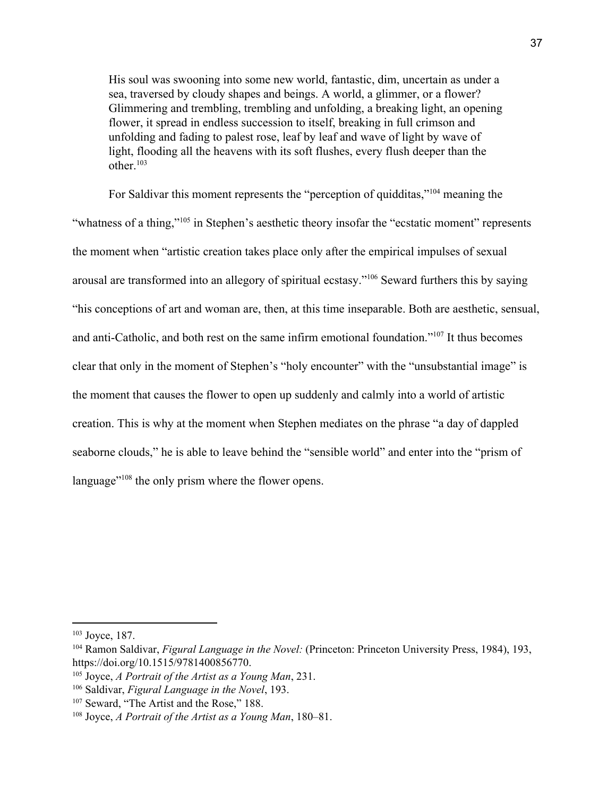His soul was swooning into some new world, fantastic, dim, uncertain as under a sea, traversed by cloudy shapes and beings. A world, a glimmer, or a flower? Glimmering and trembling, trembling and unfolding, a breaking light, an opening flower, it spread in endless succession to itself, breaking in full crimson and unfolding and fading to palest rose, leaf by leaf and wave of light by wave of light, flooding all the heavens with its soft flushes, every flush deeper than the other $103$ 

For Saldivar this moment represents the "perception of quidditas,"<sup> $104$ </sup> meaning the "whatness of a thing,"<sup>105</sup> in Stephen's aesthetic theory insofar the "ecstatic moment" represents the moment when "artistic creation takes place only after the empirical impulses of sexual arousal are transformed into an allegory of spiritual ecstasy."<sup>106</sup> Seward furthers this by saying "his conceptions of art and woman are, then, at this time inseparable. Both are aesthetic, sensual, and anti-Catholic, and both rest on the same infirm emotional foundation." $107$  It thus becomes clear that only in the moment of Stephen's "holy encounter" with the "unsubstantial image" is the moment that causes the flower to open up suddenly and calmly into a world of artistic creation. This is why at the moment when Stephen mediates on the phrase "a day of dappled seaborne clouds," he is able to leave behind the "sensible world" and enter into the "prism of language" $108$  the only prism where the flower opens.

<sup>103</sup> [Joyce,](https://www.zotero.org/google-docs/?DbzAFU) 187.

<sup>104</sup> Ramon [Saldivar,](https://www.zotero.org/google-docs/?0hxZr6) *Figural [Language](https://www.zotero.org/google-docs/?0hxZr6) in the Novel:* [\(Princeton:](https://www.zotero.org/google-docs/?0hxZr6) Princeton University Press, 1984), 193, [https://doi.org/10.1515/9781400856770.](https://www.zotero.org/google-docs/?0hxZr6)

<sup>105</sup> [Joyce,](https://www.zotero.org/google-docs/?Cod58Y) *A [Portrait](https://www.zotero.org/google-docs/?Cod58Y) of the Artist as a Young Man*, [231.](https://www.zotero.org/google-docs/?Cod58Y)

<sup>106</sup> [Saldivar,](https://www.zotero.org/google-docs/?ZjGGKb) *Figural [Language](https://www.zotero.org/google-docs/?ZjGGKb) in the Novel*, [193.](https://www.zotero.org/google-docs/?ZjGGKb)

<sup>&</sup>lt;sup>107</sup> [Seward,](https://www.zotero.org/google-docs/?sy23Yl) "The Artist and the Rose," 188.

<sup>108</sup> [Joyce,](https://www.zotero.org/google-docs/?neFNtt) *A [Portrait](https://www.zotero.org/google-docs/?neFNtt) of the Artist as a Young Man*, [180–81.](https://www.zotero.org/google-docs/?neFNtt)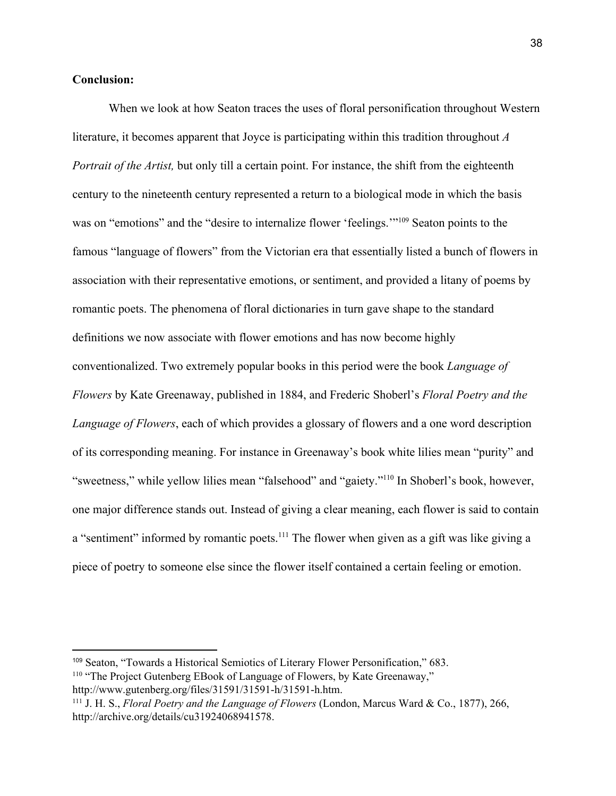#### **Conclusion:**

When we look at how Seaton traces the uses of floral personification throughout Western literature, it becomes apparent that Joyce is participating within this tradition throughout *A Portrait of the Artist*, but only till a certain point. For instance, the shift from the eighteenth century to the nineteenth century represented a return to a biological mode in which the basis was on "emotions" and the "desire to internalize flower 'feelings."<sup>109</sup> Seaton points to the famous "language of flowers" from the Victorian era that essentially listed a bunch of flowers in association with their representative emotions, or sentiment, and provided a litany of poems by romantic poets. The phenomena of floral dictionaries in turn gave shape to the standard definitions we now associate with flower emotions and has now become highly conventionalized. Two extremely popular books in this period were the book *Language of Flowers* by Kate Greenaway, published in 1884, and Frederic Shoberl's *Floral Poetry and the Language of Flowers*, each of which provides a glossary of flowers and a one word description of its corresponding meaning. For instance in Greenaway's book white lilies mean "purity" and "sweetness," while yellow lilies mean "falsehood" and "gaiety."<sup>110</sup> In Shoberl's book, however, one major difference stands out. Instead of giving a clear meaning, each flower is said to contain a "sentiment" informed by romantic poets.  $111$  The flower when given as a gift was like giving a piece of poetry to someone else since the flower itself contained a certain feeling or emotion.

<sup>109</sup> Seaton, "Towards a Historical Semiotics of Literary Flower [Personification,"](https://www.zotero.org/google-docs/?xajIVE) 683. <sup>110</sup> "The Project Gutenberg EBook of Language of Flowers, by Kate [Greenaway,"](https://www.zotero.org/google-docs/?fToKUo)

[http://www.gutenberg.org/files/31591/31591-h/31591-h.htm.](https://www.zotero.org/google-docs/?fToKUo)

<sup>111</sup> J. H. [S.,](https://www.zotero.org/google-docs/?7BFkJn) *Floral Poetry and the [Language](https://www.zotero.org/google-docs/?7BFkJn) of Flowers* [\(London,](https://www.zotero.org/google-docs/?7BFkJn) Marcus Ward & Co., 1877), 266, [http://archive.org/details/cu31924068941578.](https://www.zotero.org/google-docs/?7BFkJn)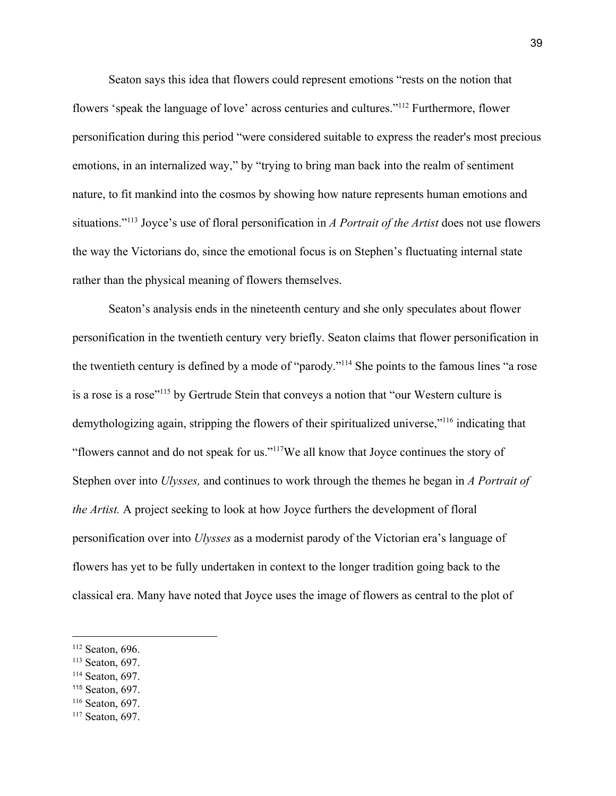Seaton says this idea that flowers could represent emotions "rests on the notion that flowers 'speak the language of love' across centuries and cultures."<sup>112</sup> Furthermore, flower personification during this period "were considered suitable to express the reader's most precious emotions, in an internalized way," by "trying to bring man back into the realm of sentiment nature, to fit mankind into the cosmos by showing how nature represents human emotions and situations."<sup>113</sup> Joyce's use of floral personification in *A Portrait of the Artist* does not use flowers the way the Victorians do, since the emotional focus is on Stephen's fluctuating internal state rather than the physical meaning of flowers themselves.

Seaton's analysis ends in the nineteenth century and she only speculates about flower personification in the twentieth century very briefly. Seaton claims that flower personification in the twentieth century is defined by a mode of "parody."<sup>114</sup> She points to the famous lines "a rose is a rose is a rose"<sup>115</sup> by Gertrude Stein that conveys a notion that "our Western culture is demythologizing again, stripping the flowers of their spiritualized universe,"<sup>116</sup> indicating that "flowers cannot and do not speak for us." $117$ We all know that Joyce continues the story of Stephen over into *Ulysses,* and continues to work through the themes he began in *A Portrait of the Artist.* A project seeking to look at how Joyce furthers the development of floral personification over into *Ulysses* as a modernist parody of the Victorian era's language of flowers has yet to be fully undertaken in context to the longer tradition going back to the classical era. Many have noted that Joyce uses the image of flowers as central to the plot of

- <sup>113</sup> [Seaton,](https://www.zotero.org/google-docs/?29QBWx) 697.
- <sup>114</sup> [Seaton,](https://www.zotero.org/google-docs/?pn26Z1) 697.
- <sup>115</sup> [Seaton,](https://www.zotero.org/google-docs/?aOzwRG) 697.
- <sup>116</sup> [Seaton,](https://www.zotero.org/google-docs/?ZVmPeB) 697.

<sup>112</sup> [Seaton,](https://www.zotero.org/google-docs/?K6Ate5) 696.

<sup>117</sup> [Seaton,](https://www.zotero.org/google-docs/?dF2H0d) 697.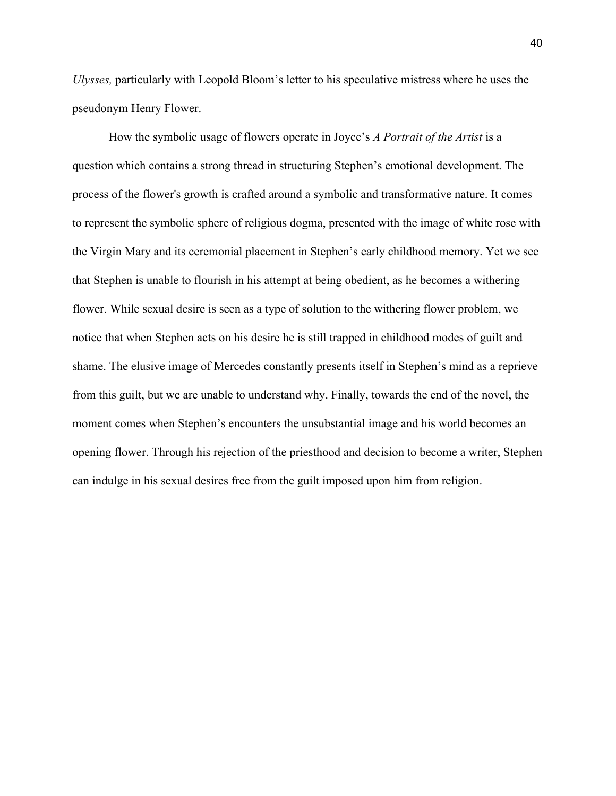*Ulysses,* particularly with Leopold Bloom's letter to his speculative mistress where he uses the pseudonym Henry Flower.

How the symbolic usage of flowers operate in Joyce's *A Portrait of the Artist* is a question which contains a strong thread in structuring Stephen's emotional development. The process of the flower's growth is crafted around a symbolic and transformative nature. It comes to represent the symbolic sphere of religious dogma, presented with the image of white rose with the Virgin Mary and its ceremonial placement in Stephen's early childhood memory. Yet we see that Stephen is unable to flourish in his attempt at being obedient, as he becomes a withering flower. While sexual desire is seen as a type of solution to the withering flower problem, we notice that when Stephen acts on his desire he is still trapped in childhood modes of guilt and shame. The elusive image of Mercedes constantly presents itself in Stephen's mind as a reprieve from this guilt, but we are unable to understand why. Finally, towards the end of the novel, the moment comes when Stephen's encounters the unsubstantial image and his world becomes an opening flower. Through his rejection of the priesthood and decision to become a writer, Stephen can indulge in his sexual desires free from the guilt imposed upon him from religion.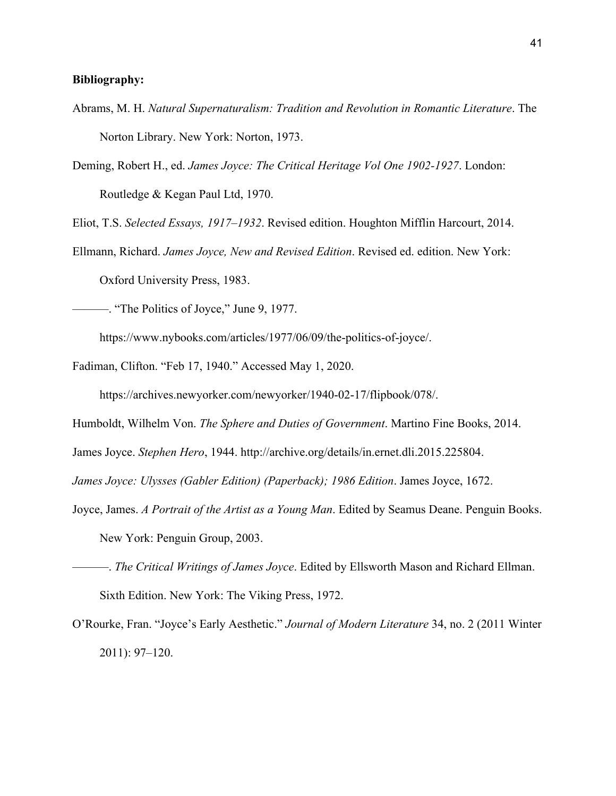#### **Bibliography:**

- Abrams, M. H. *Natural Supernaturalism: Tradition and Revolution in Romantic Literature*. The Norton Library. New York: Norton, 1973.
- Deming, Robert H., ed. *James Joyce: The Critical Heritage Vol One 1902-1927*. London: Routledge & Kegan Paul Ltd, 1970.

Eliot, T.S. *Selected Essays, 1917–1932*. Revised edition. Houghton Mifflin Harcourt, 2014.

Ellmann, Richard. *James Joyce, New and Revised Edition*. Revised ed. edition. New York: Oxford University Press, 1983.

———. "The Politics of Joyce," June 9, 1977.

https://www.nybooks.com/articles/1977/06/09/the-politics-of-joyce/.

Fadiman, Clifton. "Feb 17, 1940." Accessed May 1, 2020.

https://archives.newyorker.com/newyorker/1940-02-17/flipbook/078/.

Humboldt, Wilhelm Von. *The Sphere and Duties of Government*. Martino Fine Books, 2014.

James Joyce. *Stephen Hero*, 1944. http://archive.org/details/in.ernet.dli.2015.225804.

*James Joyce: Ulysses (Gabler Edition) (Paperback); 1986 Edition*. James Joyce, 1672.

- Joyce, James. *A Portrait of the Artist as a Young Man*. Edited by Seamus Deane. Penguin Books. New York: Penguin Group, 2003.
- ———. *The Critical Writings of James Joyce*. Edited by Ellsworth Mason and Richard Ellman. Sixth Edition. New York: The Viking Press, 1972.
- O'Rourke, Fran. "Joyce's Early Aesthetic." *Journal of Modern Literature* 34, no. 2 (2011 Winter 2011): 97–120.